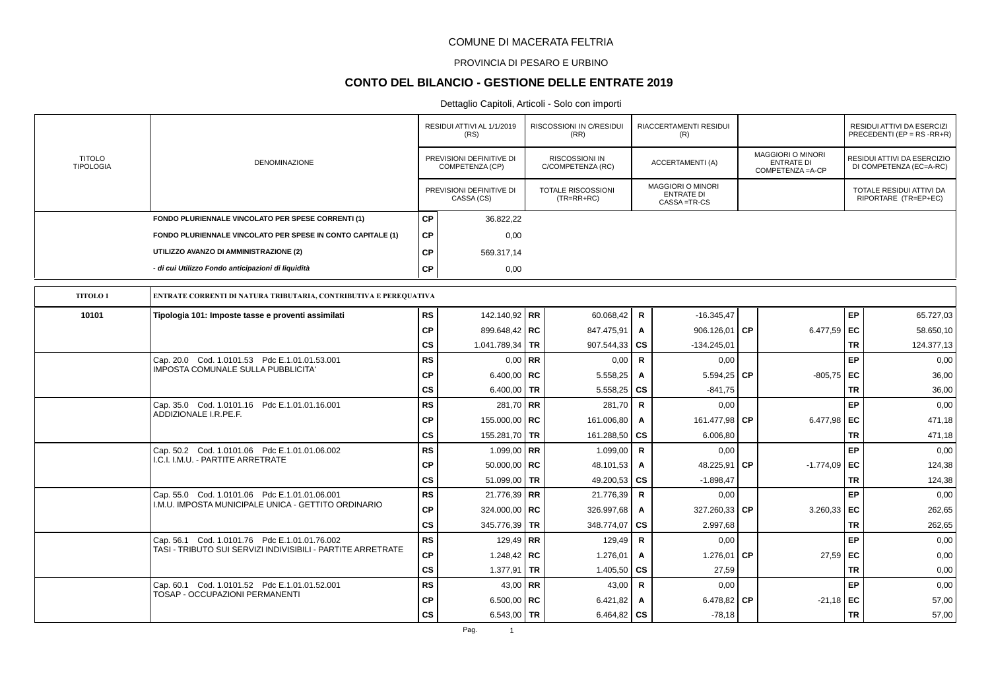### PROVINCIA DI PESARO E URBINO

## **CONTO DEL BILANCIO - GESTIONE DELLE ENTRATE 2019**

|                                   |                                                                                                              |           | RESIDUI ATTIVI AL 1/1/2019<br>(RS)          |           | <b>RISCOSSIONI IN C/RESIDUI</b><br>(RR)   |                | RIACCERTAMENTI RESIDUI<br>(R)                                |           |                                                                    |           | RESIDUI ATTIVI DA ESERCIZI<br>PRECEDENTI (EP = RS -RR+R) |
|-----------------------------------|--------------------------------------------------------------------------------------------------------------|-----------|---------------------------------------------|-----------|-------------------------------------------|----------------|--------------------------------------------------------------|-----------|--------------------------------------------------------------------|-----------|----------------------------------------------------------|
| <b>TITOLO</b><br><b>TIPOLOGIA</b> | <b>DENOMINAZIONE</b>                                                                                         |           | PREVISIONI DEFINITIVE DI<br>COMPETENZA (CP) |           | RISCOSSIONI IN<br>C/COMPETENZA (RC)       |                | ACCERTAMENTI (A)                                             |           | <b>MAGGIORI O MINORI</b><br><b>ENTRATE DI</b><br>COMPETENZA = A-CP |           | RESIDUI ATTIVI DA ESERCIZIO<br>DI COMPETENZA (EC=A-RC)   |
|                                   |                                                                                                              |           | PREVISIONI DEFINITIVE DI<br>CASSA (CS)      |           | <b>TOTALE RISCOSSIONI</b><br>$(TR=RR+RC)$ |                | <b>MAGGIORI O MINORI</b><br><b>ENTRATE DI</b><br>CASSA=TR-CS |           |                                                                    |           | TOTALE RESIDUI ATTIVI DA<br>RIPORTARE (TR=EP+EC)         |
|                                   | FONDO PLURIENNALE VINCOLATO PER SPESE CORRENTI (1)                                                           | <b>CP</b> | 36.822,22                                   |           |                                           |                |                                                              |           |                                                                    |           |                                                          |
|                                   | FONDO PLURIENNALE VINCOLATO PER SPESE IN CONTO CAPITALE (1)                                                  | <b>CP</b> | 0,00                                        |           |                                           |                |                                                              |           |                                                                    |           |                                                          |
|                                   | UTILIZZO AVANZO DI AMMINISTRAZIONE (2)                                                                       | <b>CP</b> | 569.317,14                                  |           |                                           |                |                                                              |           |                                                                    |           |                                                          |
|                                   | - di cui Utilizzo Fondo anticipazioni di liquidità                                                           | <b>CP</b> | 0,00                                        |           |                                           |                |                                                              |           |                                                                    |           |                                                          |
| <b>TITOLO1</b>                    | ENTRATE CORRENTI DI NATURA TRIBUTARIA, CONTRIBUTIVA E PEREQUATIVA                                            |           |                                             |           |                                           |                |                                                              |           |                                                                    |           |                                                          |
| 10101                             | Tipologia 101: Imposte tasse e proventi assimilati                                                           | <b>RS</b> | 142.140,92 RR                               |           | 60.068,42                                 | R              | $-16.345,47$                                                 |           |                                                                    | <b>EP</b> | 65.727,03                                                |
|                                   |                                                                                                              | <b>CP</b> | 899.648,42 RC                               |           | 847.475,91                                | $\overline{A}$ | 906.126,01                                                   | CP        | 6.477,59 EC                                                        |           | 58.650,10                                                |
|                                   |                                                                                                              | CS        | 1.041.789,34                                | <b>TR</b> | 907.544,33                                | <b>CS</b>      | $-134.245.01$                                                |           |                                                                    | TR        | 124.377,13                                               |
|                                   | Cap. 20.0 Cod. 1.0101.53 Pdc E.1.01.01.53.001                                                                | <b>RS</b> | $0.00$ RR                                   |           | 0,00                                      | $\mathbf R$    | 0,00                                                         |           |                                                                    | EP        | 0,00                                                     |
|                                   | <b>IMPOSTA COMUNALE SULLA PUBBLICITA'</b>                                                                    | СP        | 6.400,00   RC                               |           | 5.558,25                                  | A              | 5.594,25                                                     | <b>CP</b> | $-805,75$ EC                                                       |           | 36,00                                                    |
|                                   |                                                                                                              | <b>CS</b> | 6.400,00   TR                               |           | 5.558,25                                  | CS             | $-841,75$                                                    |           |                                                                    | <b>TR</b> | 36,00                                                    |
|                                   | Cap. 35.0 Cod. 1.0101.16 Pdc E.1.01.01.16.001                                                                | <b>RS</b> | 281,70 RR                                   |           | 281,70                                    | $\mathsf{R}$   | 0,00                                                         |           |                                                                    | EP        | 0,00                                                     |
|                                   | ADDIZIONALE I.R.PE.F.                                                                                        | СP        | 155.000,00   RC                             |           | 161.006,80                                | A              | 161.477,98 CP                                                |           | 6.477,98 EC                                                        |           | 471,18                                                   |
|                                   |                                                                                                              | <b>CS</b> | 155.281,70 TR                               |           | 161.288,50                                | <b>CS</b>      | 6.006,80                                                     |           |                                                                    | <b>TR</b> | 471,18                                                   |
|                                   | Cap. 50.2 Cod. 1.0101.06 Pdc E.1.01.01.06.002<br>I.C.I. I.M.U. - PARTITE ARRETRATE                           | RS        | 1.099,00   RR                               |           | 1.099,00                                  | $\mathsf{R}$   | 0,00                                                         |           |                                                                    | EP        | 0,00                                                     |
|                                   |                                                                                                              | <b>CP</b> | $50.000,00$ RC                              |           | 48.101,53                                 | A              | 48.225,91                                                    | <b>CP</b> | $-1.774.09$ EC                                                     |           | 124,38                                                   |
|                                   |                                                                                                              | <b>CS</b> | 51.099,00                                   | <b>TR</b> | 49.200,53                                 | <b>CS</b>      | $-1.898,47$                                                  |           |                                                                    | <b>TR</b> | 124,38                                                   |
|                                   | Cap. 55.0 Cod. 1.0101.06 Pdc E.1.01.01.06.001<br>I.M.U. IMPOSTA MUNICIPALE UNICA - GETTITO ORDINARIO         | <b>RS</b> | 21.776,39 RR                                |           | 21.776,39                                 | $\mathbf R$    | 0,00                                                         |           |                                                                    | EP        | 0,00                                                     |
|                                   |                                                                                                              | <b>CP</b> | 324.000,00   RC                             |           | 326.997,68                                | A              | 327.260,33 CP                                                |           | 3.260,33                                                           | EC        | 262,65                                                   |
|                                   |                                                                                                              | <b>CS</b> | 345.776,39 TR                               |           | 348.774,07                                | CS             | 2.997,68                                                     |           |                                                                    | <b>TR</b> | 262,65                                                   |
|                                   | Cap. 56.1 Cod. 1.0101.76 Pdc E.1.01.01.76.002<br>TASI - TRIBUTO SUI SERVIZI INDIVISIBILI - PARTITE ARRETRATE | <b>RS</b> | 129.49 RR                                   |           | 129.49                                    | $\mathbf R$    | 0,00                                                         |           |                                                                    | EP        | 0,00                                                     |
|                                   |                                                                                                              | <b>CP</b> | 1.248,42   RC                               |           | 1.276,01                                  | A              | 1.276,01                                                     | l CP      | $27,59$ EC                                                         |           | 0,00                                                     |
|                                   |                                                                                                              | cs        | 1.377,91   TR                               |           | 1.405,50                                  | CS             | 27.59                                                        |           |                                                                    | <b>TR</b> | 0,00                                                     |
|                                   | Cap. 60.1 Cod. 1.0101.52 Pdc E.1.01.01.52.001<br>TOSAP - OCCUPAZIONI PERMANENTI                              | RS        | 43,00   RR                                  |           | 43,00                                     | R              | 0,00                                                         |           |                                                                    | EP        | 0,00                                                     |
|                                   |                                                                                                              | <b>CP</b> | 6.500,00   $RC$                             |           | 6.421,82                                  | A              | 6.478,82 CP                                                  |           | $-21,18$ EC                                                        |           | 57,00                                                    |
|                                   |                                                                                                              | cs        | 6.543,00 TR                                 |           | 6.464,82                                  | <b>CS</b>      | $-78,18$                                                     |           |                                                                    | <b>TR</b> | 57,00                                                    |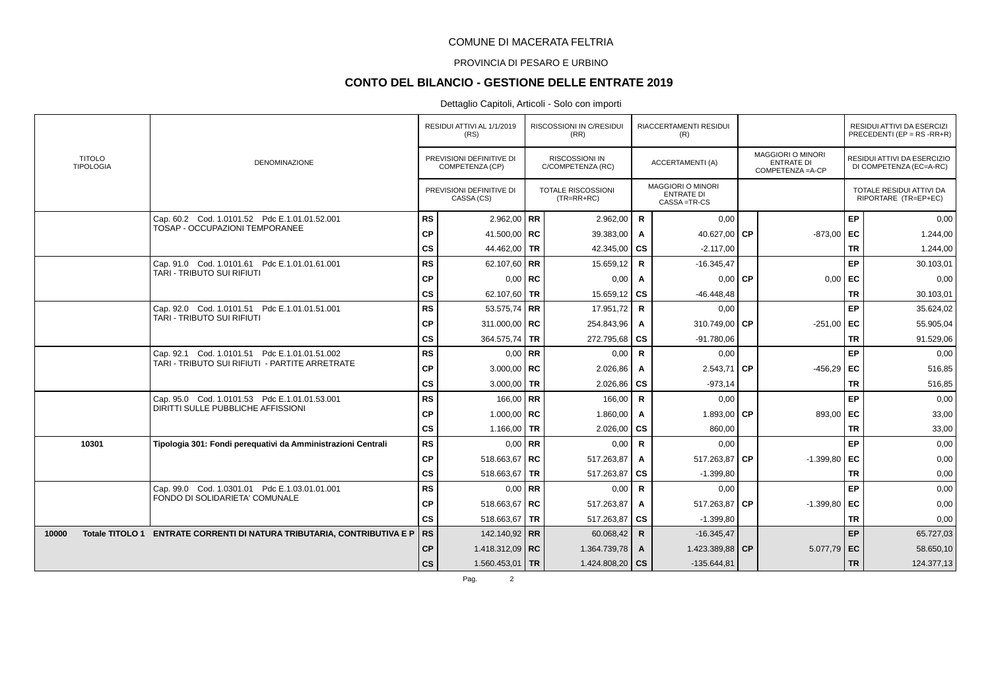### PROVINCIA DI PESARO E URBINO

# **CONTO DEL BILANCIO - GESTIONE DELLE ENTRATE 2019**

|       |                                   |                                                                            |           | RESIDUI ATTIVI AL 1/1/2019<br>(RS)          | RISCOSSIONI IN C/RESIDUI<br>(RR)           |                        | RIACCERTAMENTI RESIDUI<br>(R)                           |       |                                                                    |           | RESIDUI ATTIVI DA ESERCIZI<br>PRECEDENTI (EP = RS -RR+R) |
|-------|-----------------------------------|----------------------------------------------------------------------------|-----------|---------------------------------------------|--------------------------------------------|------------------------|---------------------------------------------------------|-------|--------------------------------------------------------------------|-----------|----------------------------------------------------------|
|       | <b>TITOLO</b><br><b>TIPOLOGIA</b> | <b>DENOMINAZIONE</b>                                                       |           | PREVISIONI DEFINITIVE DI<br>COMPETENZA (CP) | <b>RISCOSSIONI IN</b><br>C/COMPETENZA (RC) |                        | ACCERTAMENTI (A)                                        |       | <b>MAGGIORI O MINORI</b><br><b>ENTRATE DI</b><br>COMPETENZA = A-CP |           | RESIDUI ATTIVI DA ESERCIZIO<br>DI COMPETENZA (EC=A-RC)   |
|       |                                   |                                                                            |           | PREVISIONI DEFINITIVE DI<br>CASSA (CS)      | <b>TOTALE RISCOSSIONI</b><br>$(TR=RR+RC)$  |                        | MAGGIORI O MINORI<br><b>ENTRATE DI</b><br>CASSA = TR-CS |       |                                                                    |           | TOTALE RESIDUI ATTIVI DA<br>RIPORTARE (TR=EP+EC)         |
|       |                                   | Cap. 60.2 Cod. 1.0101.52 Pdc E.1.01.01.52.001                              | <b>RS</b> | 2.962,00   RR                               | 2.962,00                                   | R                      | 0,00                                                    |       |                                                                    | EP        | 0,00                                                     |
|       |                                   | TOSAP - OCCUPAZIONI TEMPORANEE                                             | <b>CP</b> | 41.500,00   RC                              | 39.383,00                                  | A                      | 40.627,00 CP                                            |       | $-873,00$ EC                                                       |           | 1.244,00                                                 |
|       |                                   |                                                                            | <b>CS</b> | 44.462,00 TR                                | 42.345,00                                  | cs                     | $-2.117,00$                                             |       |                                                                    | <b>TR</b> | 1.244,00                                                 |
|       |                                   | Cap. 91.0 Cod. 1.0101.61 Pdc E.1.01.01.61.001                              | <b>RS</b> | 62.107,60   RR                              | 15.659,12                                  | $\mathsf{R}$           | $-16.345.47$                                            |       |                                                                    | EP        | 30.103,01                                                |
|       |                                   | TARI - TRIBUTO SUI RIFIUTI                                                 | <b>CP</b> | $0.00$ RC                                   | 0,00                                       | A                      | $0,00$ CP                                               |       | 0,00                                                               | EC        | 0,00                                                     |
|       |                                   |                                                                            | cs        | 62.107,60 TR                                | 15.659,12                                  | l cs                   | $-46.448,48$                                            |       |                                                                    | <b>TR</b> | 30.103,01                                                |
|       |                                   | Cap. 92.0 Cod. 1.0101.51 Pdc E.1.01.01.51.001                              | <b>RS</b> | 53.575,74 RR                                | 17.951,72                                  | R                      | 0,00                                                    |       |                                                                    | EP        | 35.624,02                                                |
|       |                                   | TARI - TRIBUTO SUI RIFIUTI                                                 | <b>CP</b> | 311.000,00   RC                             | 254.843,96                                 | A                      | 310.749,00 CP                                           |       | $-251.00$ EC                                                       |           | 55.905,04                                                |
|       |                                   |                                                                            | cs        | 364.575,74   TR                             | 272.795,68                                 | <b>CS</b>              | $-91.780,06$                                            |       |                                                                    | <b>TR</b> | 91.529,06                                                |
|       |                                   | Cap. 92.1 Cod. 1.0101.51 Pdc E.1.01.01.51.002                              | <b>RS</b> | $0.00$ RR                                   | 0,00                                       | R                      | 0,00                                                    |       |                                                                    | EP        | 0,00                                                     |
|       |                                   | TARI - TRIBUTO SUI RIFIUTI - PARTITE ARRETRATE                             | <b>CP</b> | 3.000,00   RC                               | 2.026,86                                   | Α                      | $2.543,71$ CP                                           |       | $-456,29$ EC                                                       |           | 516,85                                                   |
|       |                                   |                                                                            | cs        | 3.000,00 TR                                 | 2.026,86                                   | $\mathbf{c}\mathbf{s}$ | $-973,14$                                               |       |                                                                    | <b>TR</b> | 516,85                                                   |
|       |                                   | Cap. 95.0 Cod. 1.0101.53 Pdc E.1.01.01.53.001                              | <b>RS</b> | 166,00   RR                                 | 166,00                                     | $\mathsf{R}$           | 0,00                                                    |       |                                                                    | EP        | 0,00                                                     |
|       |                                   | DIRITTI SULLE PUBBLICHE AFFISSIONI                                         | <b>CP</b> | 1.000,00   RC                               | 1.860,00                                   | Α                      | 1.893,00 $\mathsf{CP}$                                  |       | 893,00 EC                                                          |           | 33,00                                                    |
|       |                                   |                                                                            | cs        | 1.166,00 TR                                 | 2.026,00                                   | l cs                   | 860,00                                                  |       |                                                                    | <b>TR</b> | 33,00                                                    |
|       | 10301                             | Tipologia 301: Fondi perequativi da Amministrazioni Centrali               | <b>RS</b> | $0.00$ RR                                   | 0,00                                       | R                      | 0,00                                                    |       |                                                                    | EP        | 0,00                                                     |
|       |                                   |                                                                            | <b>CP</b> | 518.663.67   RC                             | 517.263,87                                 | A                      | 517.263.87 CP                                           |       | $-1.399,80$ EC                                                     |           | 0,00                                                     |
|       |                                   |                                                                            | <b>CS</b> | 518.663,67   TR                             | 517.263,87                                 | <b>CS</b>              | $-1.399,80$                                             |       |                                                                    | <b>TR</b> | 0,00                                                     |
|       |                                   | Cap. 99.0 Cod. 1.0301.01 Pdc E.1.03.01.01.001                              | <b>RS</b> | $0,00$ RR                                   | 0,00                                       | $\mathsf{R}$           | 0,00                                                    |       |                                                                    | EP        | 0,00                                                     |
|       |                                   | FONDO DI SOLIDARIETA' COMUNALE                                             | <b>CP</b> | 518.663,67 RC                               | 517.263,87                                 | Α                      | 517.263,87                                              | l CP. | $-1.399,80$ EC                                                     |           | 0,00                                                     |
|       |                                   |                                                                            | cs        | 518.663,67   TR                             | 517.263,87                                 | <b>CS</b>              | $-1.399,80$                                             |       |                                                                    | <b>TR</b> | 0,00                                                     |
| 10000 |                                   | Totale TITOLO 1 ENTRATE CORRENTI DI NATURA TRIBUTARIA, CONTRIBUTIVA E P RS |           | 142.140,92 RR                               | 60.068,42                                  | $\mathsf{R}$           | $-16.345,47$                                            |       |                                                                    | EP        | 65.727,03                                                |
|       |                                   |                                                                            | <b>CP</b> | 1.418.312,09 RC                             | 1.364.739,78                               | A                      | 1.423.389,88 $\overline{\text{CP}}$                     |       | $5.077,79$ EC                                                      |           | 58.650,10                                                |
|       |                                   |                                                                            | <b>CS</b> | 1.560.453,01   TR                           | 1.424.808,20 $\overline{CS}$               |                        | $-135.644.81$                                           |       |                                                                    | <b>TR</b> | 124.377,13                                               |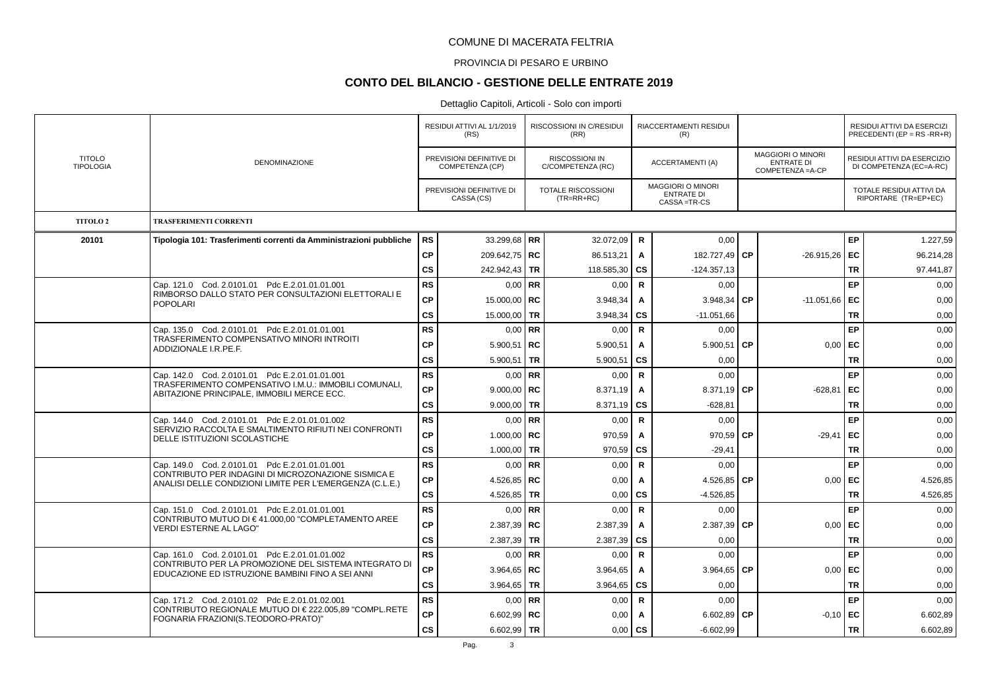### PROVINCIA DI PESARO E URBINO

## **CONTO DEL BILANCIO - GESTIONE DELLE ENTRATE 2019**

|                                   |                                                                                                         |               | RESIDUI ATTIVI AL 1/1/2019<br>(RS)          | <b>RISCOSSIONI IN C/RESIDUI</b><br>(RR)    |              | <b>RIACCERTAMENTI RESIDUI</b><br>(R)                         |           |                                                             |           | <b>RESIDUI ATTIVI DA ESERCIZI</b><br>PRECEDENTI (EP = $RS$ -RR+R) |
|-----------------------------------|---------------------------------------------------------------------------------------------------------|---------------|---------------------------------------------|--------------------------------------------|--------------|--------------------------------------------------------------|-----------|-------------------------------------------------------------|-----------|-------------------------------------------------------------------|
| <b>TITOLO</b><br><b>TIPOLOGIA</b> | DENOMINAZIONE                                                                                           |               | PREVISIONI DEFINITIVE DI<br>COMPETENZA (CP) | <b>RISCOSSIONI IN</b><br>C/COMPETENZA (RC) |              | ACCERTAMENTI (A)                                             |           | MAGGIORI O MINORI<br><b>ENTRATE DI</b><br>COMPETENZA = A-CP |           | RESIDUI ATTIVI DA ESERCIZIO<br>DI COMPETENZA (EC=A-RC)            |
|                                   |                                                                                                         |               | PREVISIONI DEFINITIVE DI<br>CASSA (CS)      | TOTALE RISCOSSIONI<br>$(TR=RR+RC)$         |              | <b>MAGGIORI O MINORI</b><br><b>ENTRATE DI</b><br>CASSA=TR-CS |           |                                                             |           | TOTALE RESIDUI ATTIVI DA<br>RIPORTARE (TR=EP+EC)                  |
| <b>TITOLO 2</b>                   | <b>TRASFERIMENTI CORRENTI</b>                                                                           |               |                                             |                                            |              |                                                              |           |                                                             |           |                                                                   |
| 20101                             | Tipologia 101: Trasferimenti correnti da Amministrazioni pubbliche                                      | <b>RS</b>     | 33.299,68   RR                              | 32.072,09                                  | R            | 0,00                                                         |           |                                                             | EP        | 1.227,59                                                          |
|                                   |                                                                                                         | <b>CP</b>     | 209.642.75 RC                               | 86.513,21                                  | $\mathbf{A}$ | 182.727,49 CP                                                |           | $-26.915,26$ EC                                             |           | 96.214,28                                                         |
|                                   |                                                                                                         | <b>CS</b>     | 242.942,43 TR                               | 118.585,30                                 | <b>CS</b>    | $-124.357,13$                                                |           |                                                             | <b>TR</b> | 97.441,87                                                         |
|                                   | Cap. 121.0 Cod. 2.0101.01 Pdc E.2.01.01.01.001<br>RIMBORSO DALLO STATO PER CONSULTAZIONI ELETTORALI E   | <b>RS</b>     | $0.00$ RR                                   | 0,00                                       | $\mathsf{R}$ | 0,00                                                         |           |                                                             | EP        | 0,00                                                              |
|                                   | <b>POPOLARI</b>                                                                                         | CP            | 15.000,00   RC                              | 3.948,34                                   | Α            | 3.948,34                                                     | СP        | $-11.051,66$ EC                                             |           | 0,00                                                              |
|                                   |                                                                                                         | <b>CS</b>     | 15.000,00 TR                                | 3.948,34                                   | <b>CS</b>    | $-11.051,66$                                                 |           |                                                             | <b>TR</b> | 0,00                                                              |
|                                   | Cap. 135.0 Cod. 2.0101.01 Pdc E.2.01.01.01.001<br>TRASFERIMENTO COMPENSATIVO MINORI INTROITI            | <b>RS</b>     | $0,00$ RR                                   | 0,00                                       | $\mathsf{R}$ | 0,00                                                         |           |                                                             | <b>EP</b> | 0,00                                                              |
|                                   | ADDIZIONALE I.R.PE.F.                                                                                   | <b>CP</b>     | $5.900,51$ RC                               | 5.900,51                                   | Α            | 5.900,51                                                     | <b>CP</b> | 0,00                                                        | l EC      | 0,00                                                              |
|                                   |                                                                                                         | CS            | 5.900,51   TR                               | 5.900,51                                   | CS           | 0,00                                                         |           |                                                             | <b>TR</b> | 0,00                                                              |
|                                   | Cap. 142.0 Cod. 2.0101.01 Pdc E.2.01.01.01.001<br>TRASFERIMENTO COMPENSATIVO I.M.U.: IMMOBILI COMUNALI. | <b>RS</b>     | $0.00$ RR                                   | 0,00                                       | $\mathsf{R}$ | 0,00                                                         |           |                                                             | EP        | 0,00                                                              |
|                                   | ABITAZIONE PRINCIPALE, IMMOBILI MERCE ECC.                                                              | <b>CP</b>     | 9.000.00   $RC$                             | 8.371,19                                   | $\mathbf{A}$ | 8.371,19 $\overline{\text{CP}}$                              |           | $-628.81$                                                   | l EC      | 0,00                                                              |
|                                   |                                                                                                         | <b>CS</b>     | $9.000,00$ TR                               | 8.371,19                                   | CS           | $-628,81$                                                    |           |                                                             | <b>TR</b> | 0,00                                                              |
|                                   | Cap. 144.0 Cod. 2.0101.01 Pdc E.2.01.01.01.002<br>SERVIZIO RACCOLTA E SMALTIMENTO RIFIUTI NEI CONFRONTI | <b>RS</b>     | $0,00$ RR                                   | 0,00                                       | $\mathsf{R}$ | 0,00                                                         |           |                                                             | EP        | 0,00                                                              |
|                                   | DELLE ISTITUZIONI SCOLASTICHE                                                                           | <b>CP</b>     | 1.000,00   RC                               | 970,59                                     | A            | 970,59                                                       | <b>CP</b> | $-29,41$                                                    | EC        | 0,00                                                              |
|                                   |                                                                                                         | <b>CS</b>     | 1.000,00 TR                                 | 970,59                                     | <b>CS</b>    | $-29,41$                                                     |           |                                                             | <b>TR</b> | 0,00                                                              |
|                                   | Cap. 149.0 Cod. 2.0101.01 Pdc E.2.01.01.01.001<br>CONTRIBUTO PER INDAGINI DI MICROZONAZIONE SISMICA E   | <b>RS</b>     | $0.00$ RR                                   | 0,00                                       | $\mathsf{R}$ | 0,00                                                         |           |                                                             | <b>EP</b> | 0,00                                                              |
|                                   | ANALISI DELLE CONDIZIONI LIMITE PER L'EMERGENZA (C.L.E.)                                                | <b>CP</b>     | 4.526,85   RC                               | 0,00                                       | A            | 4.526,85                                                     | <b>CP</b> | 0,00                                                        | EC        | 4.526,85                                                          |
|                                   |                                                                                                         | <b>CS</b>     | 4.526,85 TR                                 | 0,00                                       | CS           | $-4.526.85$                                                  |           |                                                             | <b>TR</b> | 4.526,85                                                          |
|                                   | Cap. 151.0 Cod. 2.0101.01 Pdc E.2.01.01.01.001<br>CONTRIBUTO MUTUO DI €41.000,00 "COMPLETAMENTO AREE    | <b>RS</b>     | $0,00$ RR                                   | 0,00                                       | $\mathsf{R}$ | 0,00                                                         |           |                                                             | EP        | 0,00                                                              |
|                                   | <b>VERDI ESTERNE AL LAGO"</b>                                                                           | <b>CP</b>     | $2.387,39$ RC                               | 2.387,39                                   | A            | 2.387,39                                                     | <b>CP</b> | $0.00$ EC                                                   |           | 0,00                                                              |
|                                   |                                                                                                         | $\mathsf{cs}$ | 2.387,39 TR                                 | 2.387,39                                   | <b>CS</b>    | 0,00                                                         |           |                                                             | <b>TR</b> | 0,00                                                              |
|                                   | Cap. 161.0 Cod. 2.0101.01 Pdc E.2.01.01.01.002<br>CONTRIBUTO PER LA PROMOZIONE DEL SISTEMA INTEGRATO DI | <b>RS</b>     | $0.00$ RR                                   | 0,00                                       | $\mathsf{R}$ | 0,00                                                         |           |                                                             | <b>EP</b> | 0,00                                                              |
|                                   | EDUCAZIONE ED ISTRUZIONE BAMBINI FINO A SEI ANNI                                                        | <b>CP</b>     | $3.964,65$ RC                               | 3.964,65                                   | $\mathbf{A}$ | 3.964,65                                                     | <b>CP</b> | 0.00                                                        | l EC      | 0.00                                                              |
|                                   |                                                                                                         | <b>CS</b>     | $3.964,65$ TR                               | 3.964,65                                   | <b>CS</b>    | 0,00                                                         |           |                                                             | <b>TR</b> | 0,00                                                              |
|                                   | Cap. 171.2 Cod. 2.0101.02 Pdc E.2.01.01.02.001<br>CONTRIBUTO REGIONALE MUTUO DI €222.005,89 "COMPL.RETE | <b>RS</b>     | $0.00$ RR                                   | 0,00                                       | ${\sf R}$    | 0,00                                                         |           |                                                             | EP        | 0,00                                                              |
|                                   | FOGNARIA FRAZIONI(S.TEODORO-PRATO)"                                                                     | <b>CP</b>     | $6.602,99$ RC                               | 0,00                                       | Α            | 6.602,89                                                     | <b>CP</b> | $-0,10$ EC                                                  |           | 6.602,89                                                          |
|                                   |                                                                                                         | CS            | 6.602,99   TR                               | 0,00                                       | CS           | $-6.602,99$                                                  |           |                                                             | <b>TR</b> | 6.602,89                                                          |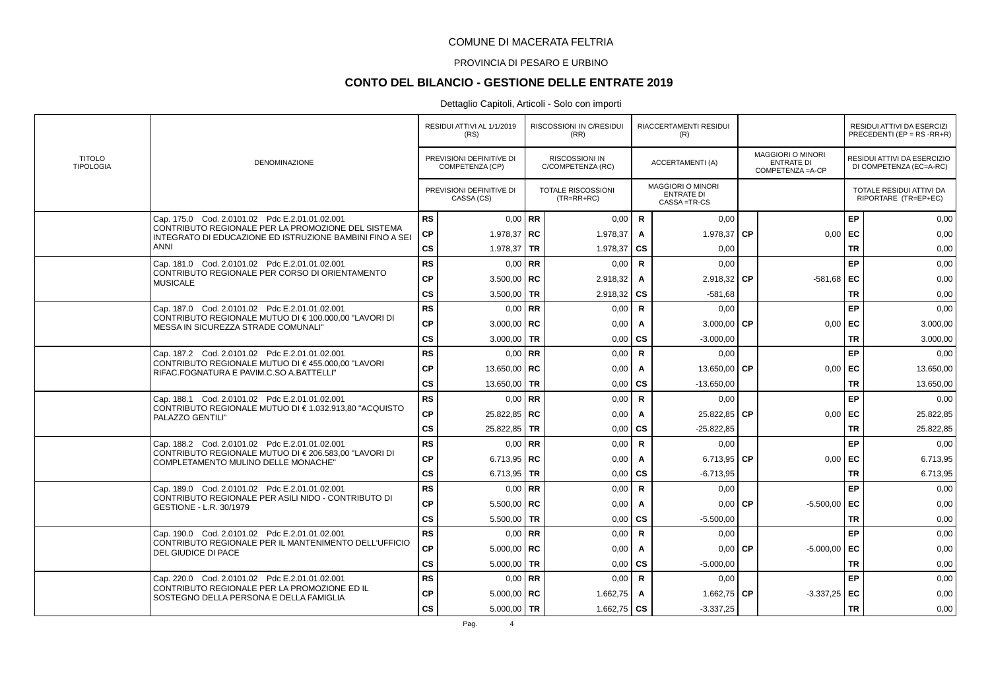### PROVINCIA DI PESARO E URBINO

# **CONTO DEL BILANCIO - GESTIONE DELLE ENTRATE 2019**

|                                   |                                                                                                                |               | RESIDUI ATTIVI AL 1/1/2019<br>(RS)          |           | <b>RISCOSSIONI IN C/RESIDUI</b><br>(RR)    |              | RIACCERTAMENTI RESIDUI<br>(R)                                |           |                                                      |           | RESIDUI ATTIVI DA ESERCIZI<br>PRECEDENTI (EP = $RS$ -RR+R) |
|-----------------------------------|----------------------------------------------------------------------------------------------------------------|---------------|---------------------------------------------|-----------|--------------------------------------------|--------------|--------------------------------------------------------------|-----------|------------------------------------------------------|-----------|------------------------------------------------------------|
| <b>TITOLO</b><br><b>TIPOLOGIA</b> | <b>DENOMINAZIONE</b>                                                                                           |               | PREVISIONI DEFINITIVE DI<br>COMPETENZA (CP) |           | <b>RISCOSSIONI IN</b><br>C/COMPETENZA (RC) |              | ACCERTAMENTI (A)                                             |           | MAGGIORI O MINORI<br>ENTRATE DI<br>COMPETENZA = A-CP |           | RESIDUI ATTIVI DA ESERCIZIO<br>DI COMPETENZA (EC=A-RC)     |
|                                   |                                                                                                                |               | PREVISIONI DEFINITIVE DI<br>CASSA (CS)      |           | <b>TOTALE RISCOSSIONI</b><br>$(TR=RR+RC)$  |              | <b>MAGGIORI O MINORI</b><br><b>ENTRATE DI</b><br>CASSA=TR-CS |           |                                                      |           | TOTALE RESIDUI ATTIVI DA<br>RIPORTARE (TR=EP+EC)           |
|                                   | Cap. 175.0 Cod. 2.0101.02 Pdc E.2.01.01.02.001                                                                 | <b>RS</b>     |                                             | $0.00$ RR | 0,00                                       | $\mathbf R$  | 0,00                                                         |           |                                                      | EP        | 0,00                                                       |
|                                   | CONTRIBUTO REGIONALE PER LA PROMOZIONE DEL SISTEMA<br>INTEGRATO DI EDUCAZIONE ED ISTRUZIONE BAMBINI FINO A SEI | CP            | 1.978,37   RC                               |           | 1.978,37                                   | Α            | 1.978,37                                                     | CP        | $0,00$   EC                                          |           | 0,00                                                       |
|                                   | ANNI                                                                                                           | $\mathsf{cs}$ | 1.978,37                                    | <b>TR</b> | 1.978,37                                   | CS           | 0,00                                                         |           |                                                      | TR        | 0,00                                                       |
|                                   | Cap. 181.0 Cod. 2.0101.02 Pdc E.2.01.01.02.001                                                                 | <b>RS</b>     | $0.00$ RR                                   |           | 0,00                                       | $\mathbf R$  | 0,00                                                         |           |                                                      | EP        | 0,00                                                       |
|                                   | CONTRIBUTO REGIONALE PER CORSO DI ORIENTAMENTO<br><b>MUSICALE</b>                                              | <b>CP</b>     | $3.500,00$ RC                               |           | 2.918,32                                   | A            | 2.918,32                                                     | <b>CP</b> | $-581,68$ EC                                         |           | 0,00                                                       |
|                                   |                                                                                                                | $\mathsf{cs}$ | 3.500,00                                    | TR        | 2.918,32                                   | <b>CS</b>    | $-581,68$                                                    |           |                                                      | <b>TR</b> | 0,00                                                       |
|                                   | Cap. 187.0 Cod. 2.0101.02 Pdc E.2.01.01.02.001                                                                 | <b>RS</b>     |                                             | $0.00$ RR | 0.00                                       | $\mathsf{R}$ | 0,00                                                         |           |                                                      | EP        | 0,00                                                       |
|                                   | CONTRIBUTO REGIONALE MUTUO DI €100.000.00 "LAVORI DI<br>MESSA IN SICUREZZA STRADE COMUNALI"                    | <b>CP</b>     | 3.000,00   RC                               |           | 0,00                                       | A            | 3.000,00 $\mathsf{CP}$                                       |           | $0,00$ EC                                            |           | 3.000,00                                                   |
|                                   |                                                                                                                | <b>CS</b>     | 3.000,00 TR                                 |           | 0,00                                       | <b>CS</b>    | $-3.000,00$                                                  |           |                                                      | <b>TR</b> | 3.000,00                                                   |
|                                   | Cap. 187.2 Cod. 2.0101.02 Pdc E.2.01.01.02.001                                                                 | <b>RS</b>     | $0.00$ RR                                   |           | 0,00                                       | $\mathsf{R}$ | 0,00                                                         |           |                                                      | EP        | 0,00                                                       |
|                                   | CONTRIBUTO REGIONALE MUTUO DI €455.000.00 "LAVORI<br>RIFAC.FOGNATURA E PAVIM.C.SO A.BATTELLI"                  | <b>CP</b>     | 13.650,00   RC                              |           | 0.00                                       | A            | 13.650,00                                                    | <b>CP</b> | $0.00$ EC                                            |           | 13.650,00                                                  |
|                                   |                                                                                                                | $\mathsf{cs}$ | 13.650.00                                   | <b>TR</b> | 0,00                                       | <b>CS</b>    | $-13.650.00$                                                 |           |                                                      | <b>TR</b> | 13.650,00                                                  |
|                                   | Cap. 188.1 Cod. 2.0101.02 Pdc E.2.01.01.02.001                                                                 | <b>RS</b>     |                                             | $0.00$ RR | 0,00                                       | $\mathbf R$  | 0,00                                                         |           |                                                      | EP        | 0,00                                                       |
|                                   | CONTRIBUTO REGIONALE MUTUO DI €1.032.913.80 "ACQUISTO<br>PALAZZO GENTILI"                                      | <b>CP</b>     | 25.822,85   RC                              |           | 0,00                                       | Α            | 25.822,85 CP                                                 |           | $0,00$   EC                                          |           | 25.822,85                                                  |
|                                   |                                                                                                                | $\mathsf{cs}$ | 25.822,85                                   | <b>TR</b> | 0,00                                       | CS           | $-25.822.85$                                                 |           |                                                      | <b>TR</b> | 25.822,85                                                  |
|                                   | Cap. 188.2 Cod. 2.0101.02 Pdc E.2.01.01.02.001                                                                 | <b>RS</b>     | $0.00$ RR                                   |           | 0,00                                       | $\mathsf{R}$ | 0,00                                                         |           |                                                      | EP        | 0,00                                                       |
|                                   | CONTRIBUTO REGIONALE MUTUO DI €206.583,00 "LAVORI DI<br>COMPLETAMENTO MULINO DELLE MONACHE"                    | CP            | 6.713,95   RC                               |           | 0,00                                       | A            | 6.713,95                                                     | <b>CP</b> | $0,00$ EC                                            |           | 6.713,95                                                   |
|                                   |                                                                                                                | $\mathsf{cs}$ | 6.713,95                                    | TR        | 0,00                                       | <b>CS</b>    | $-6.713.95$                                                  |           |                                                      | <b>TR</b> | 6.713,95                                                   |
|                                   | Cap. 189.0 Cod. 2.0101.02 Pdc E.2.01.01.02.001                                                                 | <b>RS</b>     | 0.00                                        | RR        | 0,00                                       | $\mathsf{R}$ | 0,00                                                         |           |                                                      | EP        | 0,00                                                       |
|                                   | CONTRIBUTO REGIONALE PER ASILI NIDO - CONTRIBUTO DI<br>GESTIONE - L.R. 30/1979                                 | <b>CP</b>     | 5.500,00   RC                               |           | 0,00                                       | A            | 0.00                                                         | <b>CP</b> | $-5.500,00$ EC                                       |           | 0,00                                                       |
|                                   |                                                                                                                | $\mathsf{cs}$ | 5.500,00 TR                                 |           | 0,00                                       | CS           | $-5.500,00$                                                  |           |                                                      | <b>TR</b> | 0,00                                                       |
|                                   | Cap. 190.0 Cod. 2.0101.02 Pdc E.2.01.01.02.001                                                                 | <b>RS</b>     |                                             | $0.00$ RR | 0,00                                       | $\mathsf{R}$ | 0.00                                                         |           |                                                      | EP        | 0,00                                                       |
|                                   | CONTRIBUTO REGIONALE PER IL MANTENIMENTO DELL'UFFICIO<br>DEL GIUDICE DI PACE                                   | <b>CP</b>     | $5.000,00$ RC                               |           | 0,00                                       | A            | 0,00                                                         | <b>CP</b> | $-5.000,00$ EC                                       |           | 0,00                                                       |
|                                   |                                                                                                                | $\mathsf{cs}$ | 5.000.00                                    | <b>TR</b> | 0,00                                       | <b>CS</b>    | $-5.000,00$                                                  |           |                                                      | <b>TR</b> | 0,00                                                       |
|                                   | Cap. 220.0 Cod. 2.0101.02 Pdc E.2.01.01.02.001                                                                 | <b>RS</b>     |                                             | $0.00$ RR | 0,00                                       | $\mathsf{R}$ | 0,00                                                         |           |                                                      | EP        | 0,00                                                       |
|                                   | CONTRIBUTO REGIONALE PER LA PROMOZIONE ED IL<br>SOSTEGNO DELLA PERSONA E DELLA FAMIGLIA                        | <b>CP</b>     | $5.000,00$ RC                               |           | 1.662,75                                   | A            | 1.662,75 $\textsf{CP}$                                       |           | $-3.337,25$ EC                                       |           | 0,00                                                       |
|                                   |                                                                                                                | <b>CS</b>     | 5.000,00 TR                                 |           | 1.662,75 $\overline{CS}$                   |              | $-3.337,25$                                                  |           |                                                      | <b>TR</b> | 0,00                                                       |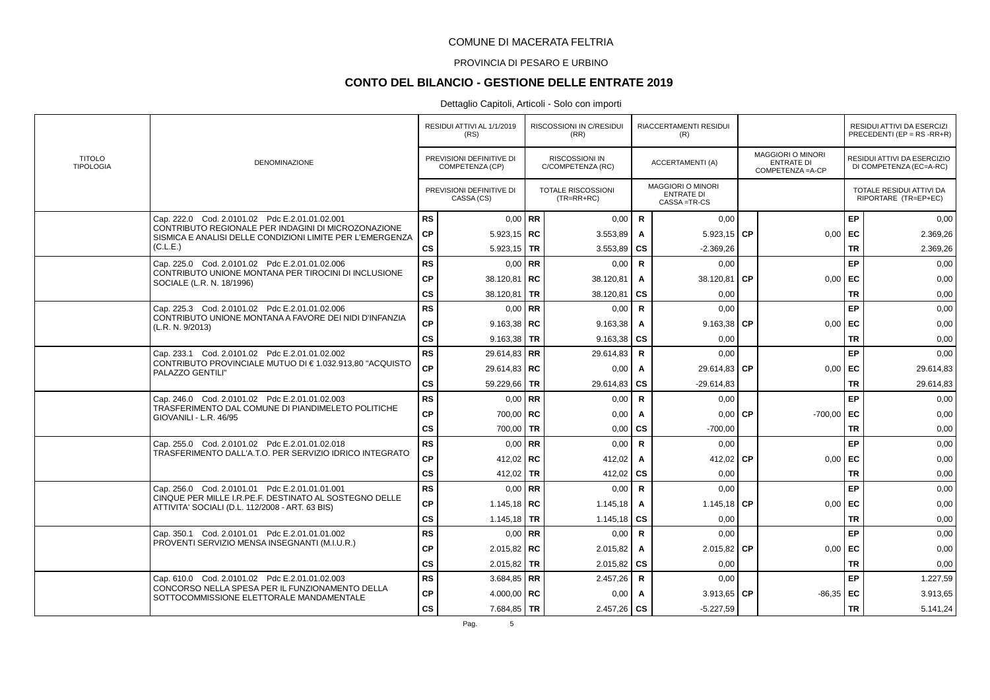### PROVINCIA DI PESARO E URBINO

# **CONTO DEL BILANCIO - GESTIONE DELLE ENTRATE 2019**

|                                   |                                                                                                                  |           | RESIDUI ATTIVI AL 1/1/2019<br>(RS)          | RISCOSSIONI IN C/RESIDUI<br>(RR)           |                        | RIACCERTAMENTI RESIDUI<br>(R)                                |           |                                                             |           | RESIDUI ATTIVI DA ESERCIZI<br>PRECEDENTI (EP = $RS$ -RR+R) |
|-----------------------------------|------------------------------------------------------------------------------------------------------------------|-----------|---------------------------------------------|--------------------------------------------|------------------------|--------------------------------------------------------------|-----------|-------------------------------------------------------------|-----------|------------------------------------------------------------|
| <b>TITOLO</b><br><b>TIPOLOGIA</b> | <b>DENOMINAZIONE</b>                                                                                             |           | PREVISIONI DEFINITIVE DI<br>COMPETENZA (CP) | <b>RISCOSSIONI IN</b><br>C/COMPETENZA (RC) |                        | ACCERTAMENTI (A)                                             |           | MAGGIORI O MINORI<br><b>ENTRATE DI</b><br>COMPETENZA = A-CP |           | RESIDUI ATTIVI DA ESERCIZIO<br>DI COMPETENZA (EC=A-RC)     |
|                                   |                                                                                                                  |           | PREVISIONI DEFINITIVE DI<br>CASSA (CS)      | <b>TOTALE RISCOSSIONI</b><br>$(TR=RR+RC)$  |                        | <b>MAGGIORI O MINORI</b><br><b>ENTRATE DI</b><br>CASSA=TR-CS |           |                                                             |           | TOTALE RESIDUI ATTIVI DA<br>RIPORTARE (TR=EP+EC)           |
|                                   | Cap. 222.0 Cod. 2.0101.02 Pdc E.2.01.01.02.001                                                                   | <b>RS</b> | $0,00$ RR                                   | 0,00                                       | $\mathsf{R}$           | 0,00                                                         |           |                                                             | <b>EP</b> | 0,00                                                       |
|                                   | CONTRIBUTO REGIONALE PER INDAGINI DI MICROZONAZIONE<br>SISMICA E ANALISI DELLE CONDIZIONI LIMITE PER L'EMERGENZA | <b>CP</b> | $5.923, 15$ RC                              | 3.553,89                                   | A                      | 5.923,15 $\overline{\text{CP}}$                              |           | $0,00$ EC                                                   |           | 2.369,26                                                   |
|                                   | (C.L.E.)                                                                                                         | <b>CS</b> | 5.923,15   TR                               | 3.553,89                                   | $\mathbf{c}\mathbf{s}$ | $-2.369,26$                                                  |           |                                                             | <b>TR</b> | 2.369,26                                                   |
|                                   | Cap. 225.0 Cod. 2.0101.02 Pdc E.2.01.01.02.006                                                                   | <b>RS</b> | $0,00$ RR                                   | 0,00                                       | $\mathsf{R}$           | 0,00                                                         |           |                                                             | EP        | 0,00                                                       |
|                                   | CONTRIBUTO UNIONE MONTANA PER TIROCINI DI INCLUSIONE<br>SOCIALE (L.R. N. 18/1996)                                | <b>CP</b> | 38.120,81   RC                              | 38.120,81                                  | A                      | 38.120,81                                                    | <b>CP</b> | 0,00                                                        | EC        | 0,00                                                       |
|                                   |                                                                                                                  | <b>CS</b> | 38.120,81   TR                              | 38.120,81                                  | <b>CS</b>              | 0,00                                                         |           |                                                             | <b>TR</b> | 0,00                                                       |
|                                   | Cap. 225.3 Cod. 2.0101.02 Pdc E.2.01.01.02.006                                                                   | <b>RS</b> | $0,00$ RR                                   | 0,00                                       | $\mathsf{R}$           | 0,00                                                         |           |                                                             | <b>EP</b> | 0,00                                                       |
|                                   | CONTRIBUTO UNIONE MONTANA A FAVORE DEI NIDI D'INFANZIA<br>(L.R. N. 9/2013)                                       | СP        | 9.163,38   RC                               | 9.163,38                                   | A                      | 9.163,38 $ CP$                                               |           | 0,00                                                        | ∣ EC      | 0,00                                                       |
|                                   |                                                                                                                  | cs        | 9.163,38   TR                               | 9.163,38                                   | CS                     | 0,00                                                         |           |                                                             | <b>TR</b> | 0,00                                                       |
|                                   | Cap. 233.1 Cod. 2.0101.02 Pdc E.2.01.01.02.002                                                                   | <b>RS</b> | $29.614.83$ RR                              | 29.614,83                                  | $\mathbf R$            | 0,00                                                         |           |                                                             | <b>EP</b> | 0,00                                                       |
|                                   | CONTRIBUTO PROVINCIALE MUTUO DI €1.032.913,80 "ACQUISTO<br>PALAZZO GENTILI"                                      | <b>CP</b> | 29.614,83   RC                              | 0,00                                       | $\mathbf{A}$           | 29.614,83 CP                                                 |           | $0,00$   EC                                                 |           | 29.614,83                                                  |
|                                   |                                                                                                                  | <b>CS</b> | 59.229,66 TR                                | 29.614,83                                  | $\mathbf{c}\mathbf{s}$ | $-29.614,83$                                                 |           |                                                             | <b>TR</b> | 29.614,83                                                  |
|                                   | Cap. 246.0 Cod. 2.0101.02 Pdc E.2.01.01.02.003                                                                   | <b>RS</b> | $0.00$ RR                                   | 0,00                                       | $\mathsf{R}$           | 0,00                                                         |           |                                                             | EP        | 0.00                                                       |
|                                   | TRASFERIMENTO DAL COMUNE DI PIANDIMELETO POLITICHE<br>GIOVANILI - L.R. 46/95                                     | <b>CP</b> | 700,00 RC                                   | 0,00                                       | A                      | $0,00$ CP                                                    |           | $-700,00$ EC                                                |           | 0,00                                                       |
|                                   |                                                                                                                  | <b>CS</b> | 700,00 TR                                   | 0,00                                       | <b>CS</b>              | $-700.00$                                                    |           |                                                             | <b>TR</b> | 0.00                                                       |
|                                   | Cap. 255.0 Cod. 2.0101.02 Pdc E.2.01.01.02.018                                                                   | <b>RS</b> | $0.00$ RR                                   | 0,00                                       | $\mathsf{R}$           | 0,00                                                         |           |                                                             | EP        | 0,00                                                       |
|                                   | TRASFERIMENTO DALL'A.T.O. PER SERVIZIO IDRICO INTEGRATO                                                          | <b>CP</b> | 412,02 RC                                   | 412,02                                     | A                      | 412,02                                                       | l CP      | $0,00$ EC                                                   |           | 0,00                                                       |
|                                   |                                                                                                                  | <b>CS</b> | 412,02   TR                                 | 412,02                                     | CS                     | 0,00                                                         |           |                                                             | <b>TR</b> | 0,00                                                       |
|                                   | Cap. 256.0 Cod. 2.0101.01 Pdc E.2.01.01.01.001                                                                   | <b>RS</b> | $0,00$ RR                                   | 0,00                                       | $\mathsf{R}$           | 0,00                                                         |           |                                                             | <b>EP</b> | 0,00                                                       |
|                                   | CINQUE PER MILLE I.R.PE.F. DESTINATO AL SOSTEGNO DELLE<br>ATTIVITA' SOCIALI (D.L. 112/2008 - ART. 63 BIS)        | <b>CP</b> | 1.145.18 RC                                 | 1.145,18                                   | A                      | 1.145,18 CP                                                  |           | 0.00                                                        | l EC      | 0.00                                                       |
|                                   |                                                                                                                  | cs        | 1.145,18 TR                                 | 1.145,18                                   | <b>CS</b>              | 0,00                                                         |           |                                                             | <b>TR</b> | 0,00                                                       |
|                                   | Cap. 350.1 Cod. 2.0101.01 Pdc E.2.01.01.01.002                                                                   | <b>RS</b> | $0,00$ RR                                   | 0,00                                       | $\mathsf{R}$           | 0,00                                                         |           |                                                             | <b>EP</b> | 0,00                                                       |
|                                   | PROVENTI SERVIZIO MENSA INSEGNANTI (M.I.U.R.)                                                                    | <b>CP</b> | $2.015.82$ RC                               | 2.015,82                                   | $\mathbf{A}$           | 2.015,82 $\mathsf{CP}$                                       |           | $0,00$ EC                                                   |           | 0.00                                                       |
|                                   |                                                                                                                  | <b>CS</b> | 2.015,82   TR                               | 2.015,82                                   | <b>CS</b>              | 0,00                                                         |           |                                                             | <b>TR</b> | 0,00                                                       |
|                                   | Cap. 610.0 Cod. 2.0101.02 Pdc E.2.01.01.02.003                                                                   | <b>RS</b> | $3.684.85$ RR                               | 2.457,26                                   | $\mathbf R$            | 0,00                                                         |           |                                                             | <b>EP</b> | 1.227,59                                                   |
|                                   | CONCORSO NELLA SPESA PER IL FUNZIONAMENTO DELLA<br><b>CP</b><br>SOTTOCOMMISSIONE ELETTORALE MANDAMENTALE         |           | 4.000,00   RC                               | 0,00                                       | A                      | $3.913,65$ CP                                                |           | $-86,35$ EC                                                 |           | 3.913,65                                                   |
|                                   |                                                                                                                  | <b>CS</b> | 7.684,85   TR                               | $2.457,26$ CS                              |                        | $-5.227,59$                                                  |           |                                                             | <b>TR</b> | 5.141,24                                                   |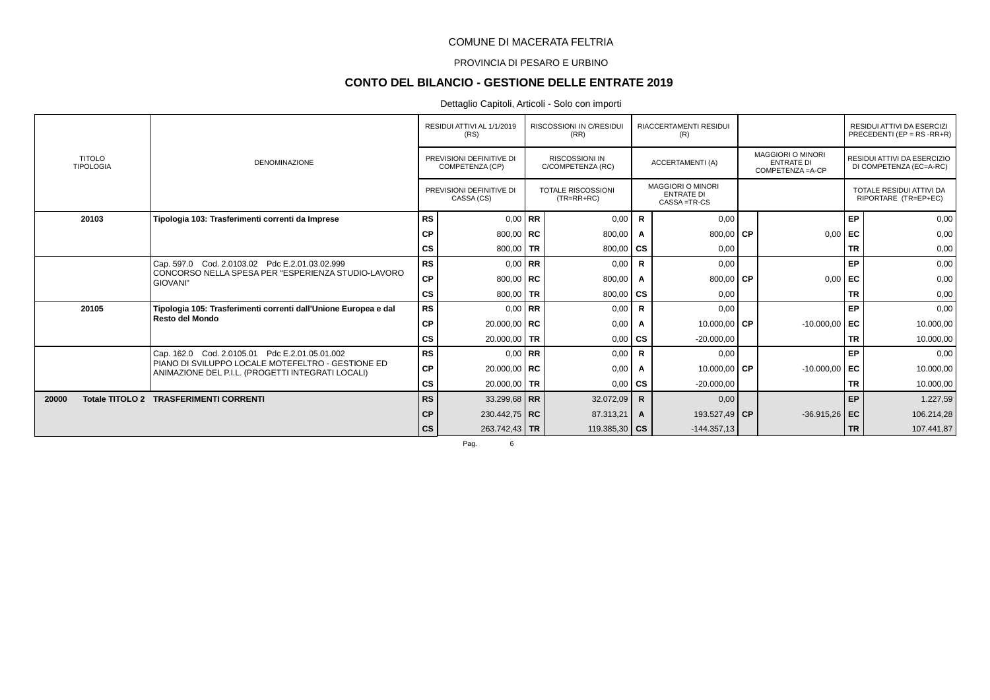### PROVINCIA DI PESARO E URBINO

# **CONTO DEL BILANCIO - GESTIONE DELLE ENTRATE 2019**

#### Dettaglio Capitoli, Articoli - Solo con importi

|       |                                   |                                                                                                        |           | RESIDUI ATTIVI AL 1/1/2019<br>(RS)          |           | RISCOSSIONI IN C/RESIDUI<br>(RR)           |              | RIACCERTAMENTI RESIDUI<br>(R)                                  |                                                                    |           | RESIDUI ATTIVI DA ESERCIZI<br>PRECEDENTI (EP = $RS$ -RR+R) |
|-------|-----------------------------------|--------------------------------------------------------------------------------------------------------|-----------|---------------------------------------------|-----------|--------------------------------------------|--------------|----------------------------------------------------------------|--------------------------------------------------------------------|-----------|------------------------------------------------------------|
|       | <b>TITOLO</b><br><b>TIPOLOGIA</b> | <b>DENOMINAZIONE</b>                                                                                   |           | PREVISIONI DEFINITIVE DI<br>COMPETENZA (CP) |           | <b>RISCOSSIONI IN</b><br>C/COMPETENZA (RC) |              | <b>ACCERTAMENTI (A)</b>                                        | <b>MAGGIORI O MINORI</b><br><b>ENTRATE DI</b><br>COMPETENZA = A-CP |           | RESIDUI ATTIVI DA ESERCIZIO<br>DI COMPETENZA (EC=A-RC)     |
|       |                                   |                                                                                                        |           | PREVISIONI DEFINITIVE DI<br>CASSA (CS)      |           | <b>TOTALE RISCOSSIONI</b><br>$(TR=RR+RC)$  |              | <b>MAGGIORI O MINORI</b><br><b>ENTRATE DI</b><br>CASSA = TR-CS |                                                                    |           | TOTALE RESIDUI ATTIVI DA<br>RIPORTARE (TR=EP+EC)           |
|       | 20103                             | Tipologia 103: Trasferimenti correnti da Imprese                                                       | <b>RS</b> | $0.00$ RR                                   |           | 0,00                                       | R            | 0,00                                                           |                                                                    | EP        | 0,00                                                       |
|       |                                   |                                                                                                        | СP        | 800,00   $RC$                               |           | 800,00                                     | $\mathbf{A}$ | 800,00 CP                                                      | 0,00                                                               | I EC      | 0,00                                                       |
|       |                                   |                                                                                                        | <b>CS</b> | 800,00   TR                                 |           | 800,00                                     | ∣ cs         | 0,00                                                           |                                                                    | <b>TR</b> | 0,00                                                       |
|       |                                   | Cap. 597.0 Cod. 2.0103.02 Pdc E.2.01.03.02.999                                                         | <b>RS</b> |                                             | $0,00$ RR | 0,00                                       | $\mathsf{R}$ | 0.00                                                           |                                                                    | EP        | 0,00                                                       |
|       |                                   | CONCORSO NELLA SPESA PER "ESPERIENZA STUDIO-LAVORO<br>GIOVANI"                                         | <b>CP</b> | 800,00   $RC$                               |           | 800,00                                     |              | 800,00 $\mathsf{CP}$                                           | 0,00                                                               | l EC      | 0,00                                                       |
|       |                                   |                                                                                                        | <b>CS</b> | 800,00 TR                                   |           | 800,00                                     | cs           | 0,00                                                           |                                                                    | <b>TR</b> | 0,00                                                       |
|       | 20105                             | Tipologia 105: Trasferimenti correnti dall'Unione Europea e dal                                        | <b>RS</b> | $0,00$ RR                                   |           | 0,00                                       | $\mathsf{R}$ | 0,00                                                           |                                                                    | EP        | 0,00                                                       |
|       |                                   | Resto del Mondo                                                                                        | <b>CP</b> | 20.000,00   RC                              |           | 0,00                                       | Α            | 10.000,00 CP                                                   | $-10.000,00$                                                       | EC        | 10.000,00                                                  |
|       |                                   |                                                                                                        | <b>CS</b> | 20.000,00 TR                                |           | 0,00                                       | <b>CS</b>    | $-20.000,00$                                                   |                                                                    | <b>TR</b> | 10.000,00                                                  |
|       |                                   | Cap. 162.0 Cod. 2.0105.01 Pdc E.2.01.05.01.002                                                         | <b>RS</b> | $0,00$ RR                                   |           | 0,00                                       | $\mathsf{R}$ | 0,00                                                           |                                                                    | EP        | 0,00                                                       |
|       |                                   | PIANO DI SVILUPPO LOCALE MOTEFELTRO - GESTIONE ED<br>ANIMAZIONE DEL P.I.L. (PROGETTI INTEGRATI LOCALI) | <b>CP</b> | 20.000,00   $RC$                            |           | 0,00                                       | $\mathbf{A}$ | 10.000,00 CP                                                   | $-10.000,00$                                                       | l EC      | 10.000,00                                                  |
|       |                                   |                                                                                                        | <b>CS</b> | 20.000,00 TR                                |           | 0,00                                       | CS           | $-20.000,00$                                                   |                                                                    | <b>TR</b> | 10.000,00                                                  |
| 20000 |                                   | Totale TITOLO 2 TRASFERIMENTI CORRENTI                                                                 | <b>RS</b> | 33.299,68 RR                                |           | 32.072,09                                  | R.           | 0,00                                                           |                                                                    | EP        | 1.227,59                                                   |
|       |                                   |                                                                                                        | СP        | 230.442,75 RC                               |           | 87.313,21                                  | $\mathbf{A}$ | 193.527,49 CP                                                  | $-36.915,26$                                                       | ∣ EC      | 106.214,28                                                 |
|       |                                   |                                                                                                        | <b>CS</b> | 263.742,43 TR                               |           | 119.385,30 $\mid$ CS                       |              | $-144.357.13$                                                  |                                                                    | <b>TR</b> | 107.441,87                                                 |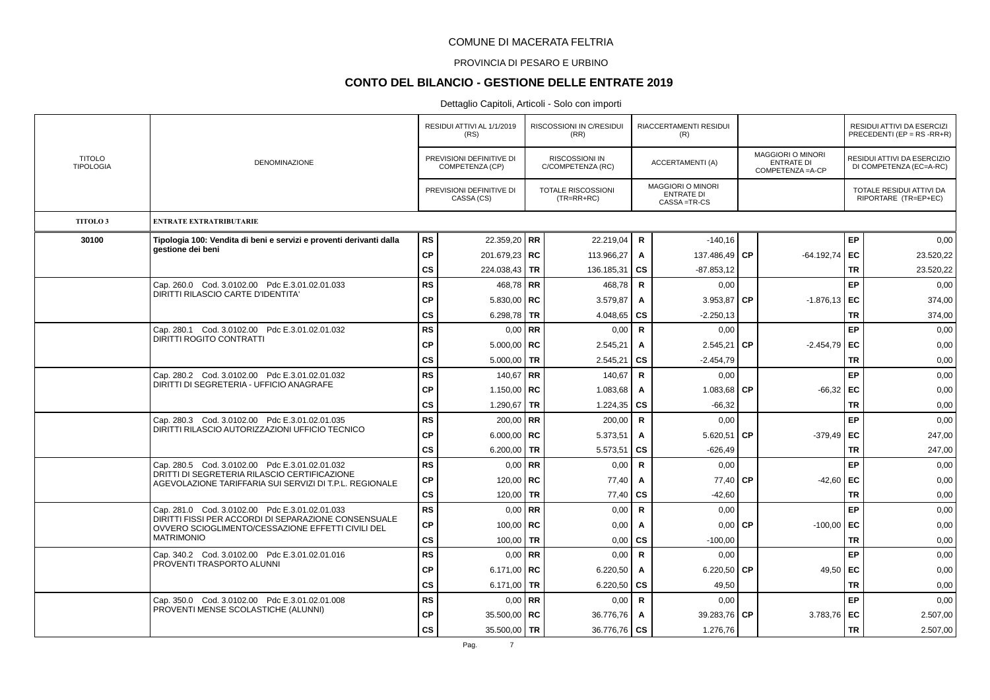### PROVINCIA DI PESARO E URBINO

# **CONTO DEL BILANCIO - GESTIONE DELLE ENTRATE 2019**

| <b>TITOLO</b>       |                                                                                                        |               | RESIDUI ATTIVI AL 1/1/2019<br>(RS)          |           | <b>RISCOSSIONI IN C/RESIDUI</b><br>(RR)    |              | <b>RIACCERTAMENTI RESIDUI</b><br>(R)                           |           |                                                             |           | RESIDUI ATTIVI DA ESERCIZI<br>PRECEDENTI (EP = $RS$ -RR+R) |
|---------------------|--------------------------------------------------------------------------------------------------------|---------------|---------------------------------------------|-----------|--------------------------------------------|--------------|----------------------------------------------------------------|-----------|-------------------------------------------------------------|-----------|------------------------------------------------------------|
| <b>TIPOLOGIA</b>    | DENOMINAZIONE                                                                                          |               | PREVISIONI DEFINITIVE DI<br>COMPETENZA (CP) |           | <b>RISCOSSIONI IN</b><br>C/COMPETENZA (RC) |              | ACCERTAMENTI (A)                                               |           | MAGGIORI O MINORI<br><b>ENTRATE DI</b><br>COMPETENZA = A-CP |           | RESIDUI ATTIVI DA ESERCIZIO<br>DI COMPETENZA (EC=A-RC)     |
|                     |                                                                                                        |               | PREVISIONI DEFINITIVE DI<br>CASSA (CS)      |           | <b>TOTALE RISCOSSIONI</b><br>$(TR=RR+RC)$  |              | <b>MAGGIORI O MINORI</b><br><b>ENTRATE DI</b><br>CASSA = TR-CS |           |                                                             |           | TOTALE RESIDUI ATTIVI DA<br>RIPORTARE (TR=EP+EC)           |
| TITOLO <sub>3</sub> | <b>ENTRATE EXTRATRIBUTARIE</b>                                                                         |               |                                             |           |                                            |              |                                                                |           |                                                             |           |                                                            |
| 30100               | Tipologia 100: Vendita di beni e servizi e proventi derivanti dalla                                    | <b>RS</b>     | 22.359,20   RR                              |           | 22.219,04                                  | R            | $-140,16$                                                      |           |                                                             | EP        | 0,00                                                       |
|                     | gestione dei beni                                                                                      | <b>CP</b>     | 201.679,23 RC                               |           | 113.966,27                                 | Α            | 137.486,49                                                     | CP        | $-64.192,74$ EC                                             |           | 23.520,22                                                  |
|                     |                                                                                                        | <b>CS</b>     | 224.038,43 TR                               |           | 136.185,31                                 | <b>CS</b>    | $-87.853, 12$                                                  |           |                                                             | <b>TR</b> | 23.520,22                                                  |
|                     | Cap. 260.0 Cod. 3.0102.00 Pdc E.3.01.02.01.033<br>DIRITTI RILASCIO CARTE D'IDENTITA'                   | <b>RS</b>     | 468,78 RR                                   |           | 468.78                                     | $\mathsf{R}$ | 0,00                                                           |           |                                                             | EP        | 0.00                                                       |
|                     |                                                                                                        | CP            | $5.830,00$ RC                               |           | 3.579,87                                   | Α            | 3.953,87                                                       | <b>CP</b> | $-1.876, 13$ EC                                             |           | 374,00                                                     |
|                     |                                                                                                        | CS            | 6.298,78 TR                                 |           | 4.048,65                                   | <b>CS</b>    | $-2.250,13$                                                    |           |                                                             | <b>TR</b> | 374,00                                                     |
|                     | Cap. 280.1 Cod. 3.0102.00 Pdc E.3.01.02.01.032<br>DIRITTI ROGITO CONTRATTI                             | <b>RS</b>     |                                             | $0.00$ RR | 0,00                                       | $\mathsf{R}$ | 0,00                                                           |           |                                                             | <b>EP</b> | 0,00                                                       |
|                     |                                                                                                        | <b>CP</b>     | 5.000.00 $R$ C                              |           | 2.545,21                                   | A            | $2.545,21$ CP                                                  |           | $-2.454.79$ EC                                              |           | 0.00                                                       |
|                     |                                                                                                        | $\mathsf{cs}$ | 5.000,00 TR                                 |           | 2.545,21                                   | <b>CS</b>    | $-2.454,79$                                                    |           |                                                             | <b>TR</b> | 0,00                                                       |
|                     | Cap. 280.2 Cod. 3.0102.00 Pdc E.3.01.02.01.032<br>DIRITTI DI SEGRETERIA - UFFICIO ANAGRAFE             | <b>RS</b>     | 140,67 RR                                   |           | 140,67                                     | R            | 0,00                                                           |           |                                                             | EP        | 0,00                                                       |
|                     |                                                                                                        | <b>CP</b>     | 1.150,00   RC                               |           | 1.083,68                                   | Α            | 1.083,68                                                       | l CP      | $-66,32$ EC                                                 |           | 0,00                                                       |
|                     |                                                                                                        | cs            | 1.290,67   TR                               |           | 1.224,35                                   | CS           | $-66,32$                                                       |           |                                                             | <b>TR</b> | 0,00                                                       |
|                     | Cap. 280.3 Cod. 3.0102.00 Pdc E.3.01.02.01.035<br>DIRITTI RILASCIO AUTORIZZAZIONI UFFICIO TECNICO      | <b>RS</b>     | $200,00$ RR                                 |           | 200,00                                     | $\mathsf{R}$ | 0,00                                                           |           |                                                             | <b>EP</b> | 0.00                                                       |
|                     |                                                                                                        | <b>CP</b>     | 6.000,00   $RC$                             |           | 5.373,51                                   | A            | 5.620,51                                                       | <b>CP</b> | $-379.49$                                                   | EC        | 247,00                                                     |
|                     |                                                                                                        | <b>CS</b>     | 6.200,00   TR                               |           | 5.573,51                                   | <b>CS</b>    | $-626.49$                                                      |           |                                                             | <b>TR</b> | 247,00                                                     |
|                     | Cap. 280.5 Cod. 3.0102.00 Pdc E.3.01.02.01.032<br>DRITTI DI SEGRETERIA RILASCIO CERTIFICAZIONE         | <b>RS</b>     |                                             | $0.00$ RR | 0,00                                       | R            | 0,00                                                           |           |                                                             | <b>EP</b> | 0,00                                                       |
|                     | AGEVOLAZIONE TARIFFARIA SUI SERVIZI DI T.P.L. REGIONALE                                                | <b>CP</b>     | 120,00   RC                                 |           | 77,40                                      | A            | 77,40                                                          | <b>CP</b> | $-42,60$                                                    | ∣ EC      | 0,00                                                       |
|                     |                                                                                                        | <b>CS</b>     | 120,00                                      | <b>TR</b> | 77,40                                      | <b>CS</b>    | $-42,60$                                                       |           |                                                             | <b>TR</b> | 0,00                                                       |
|                     | Cap. 281.0 Cod. 3.0102.00 Pdc E.3.01.02.01.033<br>DIRITTI FISSI PER ACCORDI DI SEPARAZIONE CONSENSUALE | <b>RS</b>     |                                             | $0,00$ RR | 0,00                                       | $\mathsf{R}$ | 0,00                                                           |           |                                                             | EP        | 0,00                                                       |
|                     | OVVERO SCIOGLIMENTO/CESSAZIONE EFFETTI CIVILI DEL                                                      | CP            | 100,00   $RC$                               |           | 0,00                                       | Α            | 0,00                                                           | <b>CP</b> | $-100,00$                                                   | EC        | 0,00                                                       |
|                     | <b>MATRIMONIO</b>                                                                                      | <b>CS</b>     | 100,00 TR                                   |           | 0,00                                       | <b>CS</b>    | $-100,00$                                                      |           |                                                             | <b>TR</b> | 0,00                                                       |
|                     | Cap. 340.2 Cod. 3.0102.00 Pdc E.3.01.02.01.016<br>PROVENTI TRASPORTO ALUNNI                            | <b>RS</b>     |                                             | $0.00$ RR | 0,00                                       | $\mathsf{R}$ | 0,00                                                           |           |                                                             | <b>EP</b> | 0,00                                                       |
|                     |                                                                                                        | <b>CP</b>     | 6.171,00   $RC$                             |           | 6.220,50                                   | A            | 6.220,50                                                       | <b>CP</b> | 49,50   $EC$                                                |           | 0,00                                                       |
|                     |                                                                                                        | <b>CS</b>     | 6.171,00 TR                                 |           | 6.220,50                                   | <b>CS</b>    | 49,50                                                          |           |                                                             | <b>TR</b> | 0,00                                                       |
|                     | Cap. 350.0 Cod. 3.0102.00 Pdc E.3.01.02.01.008<br>PROVENTI MENSE SCOLASTICHE (ALUNNI)                  | <b>RS</b>     |                                             | $0.00$ RR | 0,00                                       | $\mathbf R$  | 0,00                                                           |           |                                                             | <b>EP</b> | 0,00                                                       |
|                     |                                                                                                        | <b>CP</b>     | 35.500,00   RC                              |           | 36.776,76                                  | A            | 39.283,76                                                      | <b>CP</b> | 3.783,76 EC                                                 |           | 2.507,00                                                   |
|                     |                                                                                                        | cs            | 35.500,00   TR                              |           | 36.776,76                                  | CS           | 1.276,76                                                       |           |                                                             | <b>TR</b> | 2.507,00                                                   |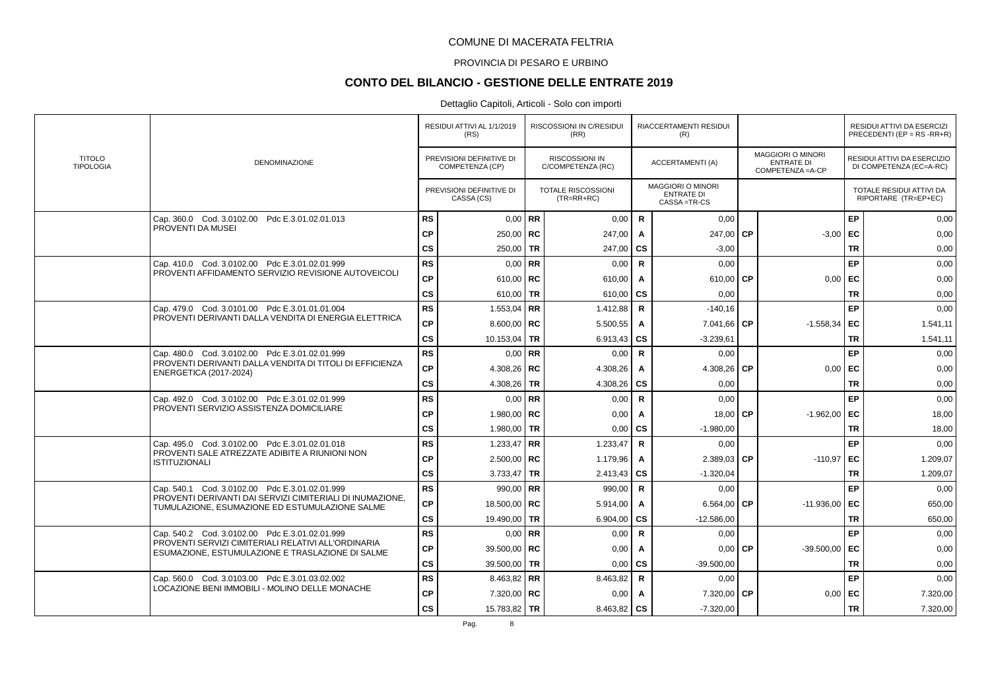### PROVINCIA DI PESARO E URBINO

# **CONTO DEL BILANCIO - GESTIONE DELLE ENTRATE 2019**

|                                   |                                                                                                             |               | RESIDUI ATTIVI AL 1/1/2019<br>(RS)          |           | RISCOSSIONI IN C/RESIDUI<br>(RR)           |              | RIACCERTAMENTI RESIDUI<br>(R)                                  |           |                                                                    |           | RESIDUI ATTIVI DA ESERCIZI<br>PRECEDENTI (EP = $RS$ -RR+R) |
|-----------------------------------|-------------------------------------------------------------------------------------------------------------|---------------|---------------------------------------------|-----------|--------------------------------------------|--------------|----------------------------------------------------------------|-----------|--------------------------------------------------------------------|-----------|------------------------------------------------------------|
| <b>TITOLO</b><br><b>TIPOLOGIA</b> | <b>DENOMINAZIONE</b>                                                                                        |               | PREVISIONI DEFINITIVE DI<br>COMPETENZA (CP) |           | <b>RISCOSSIONI IN</b><br>C/COMPETENZA (RC) |              | <b>ACCERTAMENTI (A)</b>                                        |           | <b>MAGGIORI O MINORI</b><br><b>ENTRATE DI</b><br>COMPETENZA = A-CP |           | RESIDUI ATTIVI DA ESERCIZIO<br>DI COMPETENZA (EC=A-RC)     |
|                                   |                                                                                                             |               | PREVISIONI DEFINITIVE DI<br>CASSA (CS)      |           | <b>TOTALE RISCOSSIONI</b><br>$(TR=RR+RC)$  |              | <b>MAGGIORI O MINORI</b><br><b>ENTRATE DI</b><br>CASSA = TR-CS |           |                                                                    |           | TOTALE RESIDUI ATTIVI DA<br>RIPORTARE (TR=EP+EC)           |
|                                   | Cap. 360.0 Cod. 3.0102.00 Pdc E.3.01.02.01.013                                                              | <b>RS</b>     | $0.00$ RR                                   |           | 0,00                                       | $\mathsf{R}$ | 0,00                                                           |           |                                                                    | <b>EP</b> | 0,00                                                       |
|                                   | PROVENTI DA MUSEI                                                                                           | <b>CP</b>     | 250,00   $RC$                               |           | 247,00                                     | A            | 247,00                                                         | <b>CP</b> | $-3.00$ EC                                                         |           | 0,00                                                       |
|                                   |                                                                                                             | $\mathsf{cs}$ | 250,00                                      | <b>TR</b> | 247,00                                     | <b>CS</b>    | $-3,00$                                                        |           |                                                                    | <b>TR</b> | 0,00                                                       |
|                                   | Cap. 410.0 Cod. 3.0102.00 Pdc E.3.01.02.01.999                                                              | <b>RS</b>     | 0,00                                        | <b>RR</b> | 0,00                                       | $\mathsf{R}$ | 0,00                                                           |           |                                                                    | <b>EP</b> | 0,00                                                       |
|                                   | PROVENTI AFFIDAMENTO SERVIZIO REVISIONE AUTOVEICOLI                                                         | CP            | 610,00   RC                                 |           | 610,00                                     | A            | 610,00                                                         | <b>CP</b> | 0.00                                                               | l EC      | 0,00                                                       |
|                                   |                                                                                                             | <b>CS</b>     | 610,00 TR                                   |           | 610,00                                     | <b>cs</b>    | 0,00                                                           |           |                                                                    | <b>TR</b> | 0,00                                                       |
|                                   | Cap. 479.0 Cod. 3.0101.00 Pdc E.3.01.01.01.004                                                              | <b>RS</b>     | 1.553,04 RR                                 |           | 1.412,88                                   | $\mathsf{R}$ | $-140.16$                                                      |           |                                                                    | <b>EP</b> | 0,00                                                       |
|                                   | PROVENTI DERIVANTI DALLA VENDITA DI ENERGIA ELETTRICA                                                       | <b>CP</b>     | 8.600.00   $RC$                             |           | 5.500,55                                   | A            | 7.041,66                                                       | <b>CP</b> | $-1.558,34$                                                        | EC        | 1.541,11                                                   |
|                                   |                                                                                                             | $\mathsf{cs}$ | 10.153,04 TR                                |           | 6.913,43                                   | CS           | $-3.239.61$                                                    |           |                                                                    | TR        | 1.541,11                                                   |
|                                   | Cap. 480.0 Cod. 3.0102.00 Pdc E.3.01.02.01.999                                                              | <b>RS</b>     | $0.00$ RR                                   |           | 0,00                                       | R            | 0,00                                                           |           |                                                                    | <b>EP</b> | 0,00                                                       |
|                                   | PROVENTI DERIVANTI DALLA VENDITA DI TITOLI DI EFFICIENZA<br><b>ENERGETICA (2017-2024)</b>                   | <b>CP</b>     | 4.308,26   RC                               |           | 4.308,26                                   | Α            | 4.308,26                                                       | <b>CP</b> | 0.00                                                               | EC        | 0,00                                                       |
|                                   |                                                                                                             | <b>CS</b>     | 4.308.26                                    | <b>TR</b> | 4.308,26                                   | <b>CS</b>    | 0.00                                                           |           |                                                                    | <b>TR</b> | 0,00                                                       |
|                                   | Cap. 492.0 Cod. 3.0102.00 Pdc E.3.01.02.01.999                                                              | <b>RS</b>     | $0.00$ RR                                   |           | 0,00                                       | $\mathsf{R}$ | 0.00                                                           |           |                                                                    | <b>EP</b> | 0,00                                                       |
|                                   | PROVENTI SERVIZIO ASSISTENZA DOMICILIARE                                                                    | <b>CP</b>     | 1.980,00   RC                               |           | 0,00                                       | Α            | 18,00                                                          | <b>CP</b> | $-1.962,00$ EC                                                     |           | 18,00                                                      |
|                                   |                                                                                                             | $\mathsf{cs}$ | 1.980,00                                    | <b>TR</b> | 0,00                                       | CS           | $-1.980,00$                                                    |           |                                                                    | <b>TR</b> | 18,00                                                      |
|                                   | Cap. 495.0 Cod. 3.0102.00 Pdc E.3.01.02.01.018                                                              | <b>RS</b>     | 1.233,47 RR                                 |           | 1.233,47                                   | R            | 0,00                                                           |           |                                                                    | EP        | 0,00                                                       |
|                                   | PROVENTI SALE ATREZZATE ADIBITE A RIUNIONI NON<br><b>ISTITUZIONALI</b>                                      | <b>CP</b>     | $2.500,00$ RC                               |           | 1.179,96                                   | A            | 2.389,03                                                       | <b>CP</b> | $-110.97$ EC                                                       |           | 1.209,07                                                   |
|                                   |                                                                                                             | <b>CS</b>     | $3.733,47$ TR                               |           | 2.413,43                                   | CS           | $-1.320,04$                                                    |           |                                                                    | <b>TR</b> | 1.209,07                                                   |
|                                   | Cap. 540.1 Cod. 3.0102.00 Pdc E.3.01.02.01.999                                                              | <b>RS</b>     | 990.00 RR                                   |           | 990.00                                     | $\mathsf{R}$ | 0.00                                                           |           |                                                                    | EP        | 0.00                                                       |
|                                   | PROVENTI DERIVANTI DAI SERVIZI CIMITERIALI DI INUMAZIONE.<br>TUMULAZIONE. ESUMAZIONE ED ESTUMULAZIONE SALME | CP            | 18.500,00   RC                              |           | 5.914,00                                   | A            | 6.564,00                                                       | СP        | $-11.936,00$                                                       | EC        | 650,00                                                     |
|                                   |                                                                                                             | $\mathsf{cs}$ | 19.490,00                                   | TR        | 6.904,00                                   | CS           | $-12.586,00$                                                   |           |                                                                    | TR        | 650,00                                                     |
|                                   | Cap. 540.2 Cod. 3.0102.00 Pdc E.3.01.02.01.999                                                              | <b>RS</b>     |                                             | $0.00$ RR | 0,00                                       | $\mathbf R$  | 0,00                                                           |           |                                                                    | EP        | 0,00                                                       |
|                                   | PROVENTI SERVIZI CIMITERIALI RELATIVI ALL'ORDINARIA<br>ESUMAZIONE, ESTUMULAZIONE E TRASLAZIONE DI SALME     | <b>CP</b>     | 39.500,00   RC                              |           | 0,00                                       | A            | 0,00                                                           | <b>CP</b> | $-39.500,00$ EC                                                    |           | 0,00                                                       |
|                                   |                                                                                                             | <b>CS</b>     | 39.500.00                                   | <b>TR</b> | 0.00                                       | CS           | $-39.500.00$                                                   |           |                                                                    | <b>TR</b> | 0.00                                                       |
|                                   | Cap. 560.0 Cod. 3.0103.00 Pdc E.3.01.03.02.002                                                              | <b>RS</b>     | 8.463.82 RR                                 |           | 8.463,82                                   | $\mathsf{R}$ | 0,00                                                           |           |                                                                    | EP        | 0,00                                                       |
|                                   | LOCAZIONE BENI IMMOBILI - MOLINO DELLE MONACHE                                                              | <b>CP</b>     | 7.320,00 RC                                 |           | 0,00                                       | Α            | 7.320,00                                                       | СP        | $0,00$ EC                                                          |           | 7.320,00                                                   |
|                                   |                                                                                                             | $\mathsf{cs}$ | 15.783,82 TR                                |           | 8.463,82                                   | <b>cs</b>    | $-7.320,00$                                                    |           |                                                                    | <b>TR</b> | 7.320,00                                                   |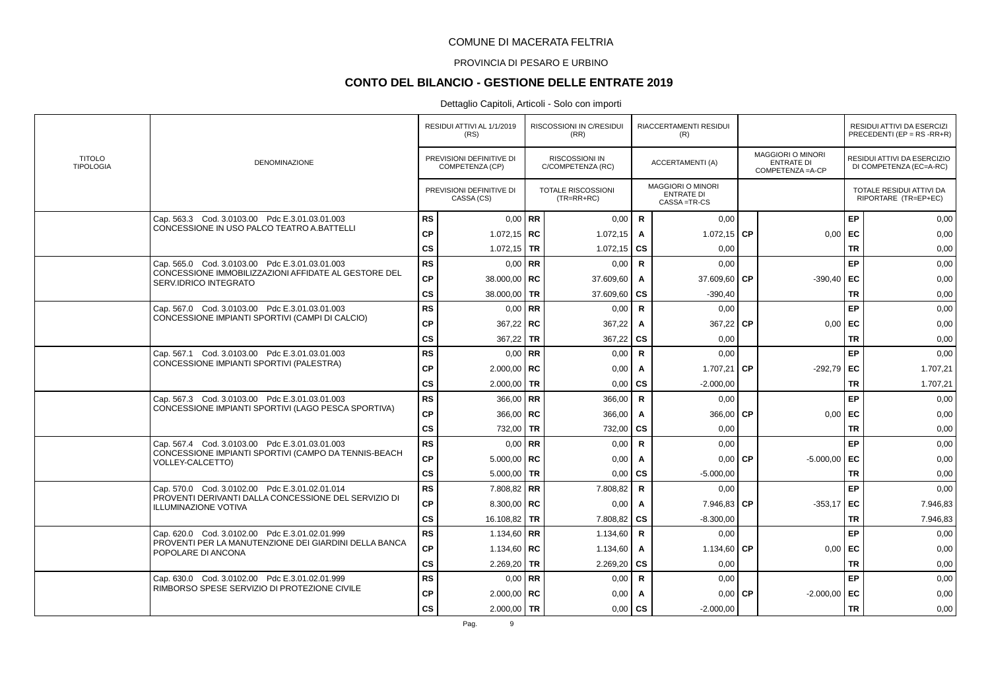### PROVINCIA DI PESARO E URBINO

## **CONTO DEL BILANCIO - GESTIONE DELLE ENTRATE 2019**

|                                   |                                                                                                         |               | RESIDUI ATTIVI AL 1/1/2019<br>(RS)          | RISCOSSIONI IN C/RESIDUI<br>(RR)           |                        | RIACCERTAMENTI RESIDUI<br>(R)                                |           |                                                           |           | RESIDUI ATTIVI DA ESERCIZI<br>PRECEDENTI (EP = RS -RR+R) |
|-----------------------------------|---------------------------------------------------------------------------------------------------------|---------------|---------------------------------------------|--------------------------------------------|------------------------|--------------------------------------------------------------|-----------|-----------------------------------------------------------|-----------|----------------------------------------------------------|
| <b>TITOLO</b><br><b>TIPOLOGIA</b> | <b>DENOMINAZIONE</b>                                                                                    |               | PREVISIONI DEFINITIVE DI<br>COMPETENZA (CP) | <b>RISCOSSIONI IN</b><br>C/COMPETENZA (RC) |                        | ACCERTAMENTI (A)                                             |           | MAGGIORI O MINORI<br><b>ENTRATE DI</b><br>COMPETENZA=A-CP |           | RESIDUI ATTIVI DA ESERCIZIO<br>DI COMPETENZA (EC=A-RC)   |
|                                   |                                                                                                         |               | PREVISIONI DEFINITIVE DI<br>CASSA (CS)      | <b>TOTALE RISCOSSIONI</b><br>$(TR=RR+RC)$  |                        | <b>MAGGIORI O MINORI</b><br><b>ENTRATE DI</b><br>CASSA=TR-CS |           |                                                           |           | TOTALE RESIDUI ATTIVI DA<br>RIPORTARE (TR=EP+EC)         |
|                                   | Cap. 563.3 Cod. 3.0103.00 Pdc E.3.01.03.01.003                                                          | <b>RS</b>     | $0,00$ RR                                   | 0,00                                       | $\mathsf{R}$           | 0,00                                                         |           |                                                           | EP        | 0,00                                                     |
|                                   | CONCESSIONE IN USO PALCO TEATRO A BATTELLI                                                              | <b>CP</b>     | $1.072, 15$ RC                              | 1.072,15                                   | A                      | 1.072,15 CP                                                  |           | 0,00                                                      | l EC      | 0,00                                                     |
|                                   |                                                                                                         | <b>CS</b>     | 1.072,15 TR                                 | 1.072,15                                   | <b>CS</b>              | 0,00                                                         |           |                                                           | <b>TR</b> | 0,00                                                     |
|                                   | Cap. 565.0 Cod. 3.0103.00 Pdc E.3.01.03.01.003                                                          | <b>RS</b>     | $0.00$ RR                                   | 0,00                                       | $\mathsf{R}$           | 0,00                                                         |           |                                                           | EP        | 0,00                                                     |
|                                   | CONCESSIONE IMMOBILIZZAZIONI AFFIDATE AL GESTORE DEL<br>SERV.IDRICO INTEGRATO                           | <b>CP</b>     | 38.000,00   RC                              | 37.609,60                                  | A                      | 37.609,60                                                    | <b>CP</b> | $-390,40$                                                 | EC        | 0,00                                                     |
|                                   |                                                                                                         | cs            | 38.000,00 TR                                | 37.609,60                                  | $\mathbf{c}\mathbf{s}$ | $-390,40$                                                    |           |                                                           | <b>TR</b> | 0,00                                                     |
|                                   | Cap. 567.0 Cod. 3.0103.00 Pdc E.3.01.03.01.003                                                          | <b>RS</b>     | $0,00$ RR                                   | 0,00                                       | $\mathsf{R}$           | 0,00                                                         |           |                                                           | EP        | 0,00                                                     |
|                                   | CONCESSIONE IMPIANTI SPORTIVI (CAMPI DI CALCIO)                                                         | <b>CP</b>     | $367,22$ RC                                 | 367,22                                     | A                      | 367,22 CP                                                    |           | 0.00                                                      | l EC      | 0.00                                                     |
|                                   |                                                                                                         | <b>CS</b>     | 367,22 TR                                   | 367,22                                     | $\mathbf{c}\mathbf{s}$ | 0,00                                                         |           |                                                           | <b>TR</b> | 0,00                                                     |
|                                   | Cap. 567.1 Cod. 3.0103.00 Pdc E.3.01.03.01.003                                                          | <b>RS</b>     | $0,00$ RR                                   | 0,00                                       | $\mathsf{R}$           | 0,00                                                         |           |                                                           | EP        | 0,00                                                     |
|                                   | CONCESSIONE IMPIANTI SPORTIVI (PALESTRA)                                                                | <b>CP</b>     | $2.000,00$ RC                               | 0,00                                       | Α                      | 1.707,21                                                     | l CP      | -292,79 EC                                                |           | 1.707,21                                                 |
|                                   |                                                                                                         | <b>CS</b>     | 2.000,00 TR                                 | 0,00                                       | CS                     | $-2.000,00$                                                  |           |                                                           | <b>TR</b> | 1.707,21                                                 |
|                                   | Cap. 567.3 Cod. 3.0103.00 Pdc E.3.01.03.01.003                                                          | <b>RS</b>     | 366,00   RR                                 | 366,00                                     | $\mathsf{R}$           | 0,00                                                         |           |                                                           | <b>EP</b> | 0,00                                                     |
|                                   | CONCESSIONE IMPIANTI SPORTIVI (LAGO PESCA SPORTIVA)                                                     | <b>CP</b>     | $366,00$ RC                                 | 366,00                                     | A                      | 366,00                                                       | <b>CP</b> | $0,00$ EC                                                 |           | 0,00                                                     |
|                                   |                                                                                                         | <b>CS</b>     | 732,00 TR                                   | 732,00                                     | <b>CS</b>              | 0,00                                                         |           |                                                           | <b>TR</b> | 0,00                                                     |
|                                   | Cap. 567.4 Cod. 3.0103.00 Pdc E.3.01.03.01.003<br>CONCESSIONE IMPIANTI SPORTIVI (CAMPO DA TENNIS-BEACH  | <b>RS</b>     | $0.00$ RR                                   | 0,00                                       | $\mathsf{R}$           | 0.00                                                         |           |                                                           | <b>EP</b> | 0,00                                                     |
|                                   | VOLLEY-CALCETTO)                                                                                        | <b>CP</b>     | 5.000.00 $R$ C                              | 0,00                                       | A                      | 0,00                                                         | <b>CP</b> | $-5.000.00$ EC                                            |           | 0.00                                                     |
|                                   |                                                                                                         | <b>CS</b>     | 5.000,00   TR                               | 0,00                                       | $\mathbf{c}\mathbf{s}$ | $-5.000,00$                                                  |           |                                                           | <b>TR</b> | 0,00                                                     |
|                                   | Cap. 570.0 Cod. 3.0102.00 Pdc E.3.01.02.01.014<br>PROVENTI DERIVANTI DALLA CONCESSIONE DEL SERVIZIO DI  | <b>RS</b>     | 7.808,82 RR                                 | 7.808,82                                   | $\mathsf{R}$           | 0,00                                                         |           |                                                           | <b>EP</b> | 0,00                                                     |
|                                   | <b>ILLUMINAZIONE VOTIVA</b>                                                                             | <b>CP</b>     | 8.300,00   RC                               | 0,00                                       | Α                      | 7.946,83                                                     | <b>CP</b> | $-353,17$ EC                                              |           | 7.946,83                                                 |
|                                   |                                                                                                         | $\mathsf{cs}$ | 16.108,82 TR                                | 7.808,82                                   | CS                     | $-8.300,00$                                                  |           |                                                           | <b>TR</b> | 7.946,83                                                 |
|                                   | Cap. 620.0 Cod. 3.0102.00 Pdc E.3.01.02.01.999<br>PROVENTI PER LA MANUTENZIONE DEI GIARDINI DELLA BANCA | <b>RS</b>     | 1.134,60 RR                                 | 1.134,60                                   | $\mathsf{R}$           | 0,00                                                         |           |                                                           | <b>EP</b> | 0,00                                                     |
|                                   | POPOLARE DI ANCONA                                                                                      | <b>CP</b>     | 1.134,60   RC                               | 1.134,60                                   | $\mathbf{A}$           | 1.134,60 $\overline{CP}$                                     |           | $0,00$ EC                                                 |           | 0,00                                                     |
|                                   |                                                                                                         | <b>CS</b>     | 2.269,20 TR                                 | 2.269,20                                   | <b>CS</b>              | 0.00                                                         |           |                                                           | <b>TR</b> | 0.00                                                     |
|                                   | Cap. 630.0 Cod. 3.0102.00 Pdc E.3.01.02.01.999                                                          | <b>RS</b>     | $0,00$ RR                                   | 0,00                                       | ${\sf R}$              | 0,00                                                         |           |                                                           | <b>EP</b> | 0,00                                                     |
|                                   | RIMBORSO SPESE SERVIZIO DI PROTEZIONE CIVILE                                                            | <b>CP</b>     | $2.000,00$ RC                               | 0,00                                       | Α                      | $0,00$ CP                                                    |           | $-2.000,00$                                               | EC        | 0,00                                                     |
|                                   |                                                                                                         | <b>CS</b>     | $2.000,00$ TR                               | 0,00                                       | $\mathbf{c}\mathbf{s}$ | $-2.000,00$                                                  |           |                                                           | <b>TR</b> | 0,00                                                     |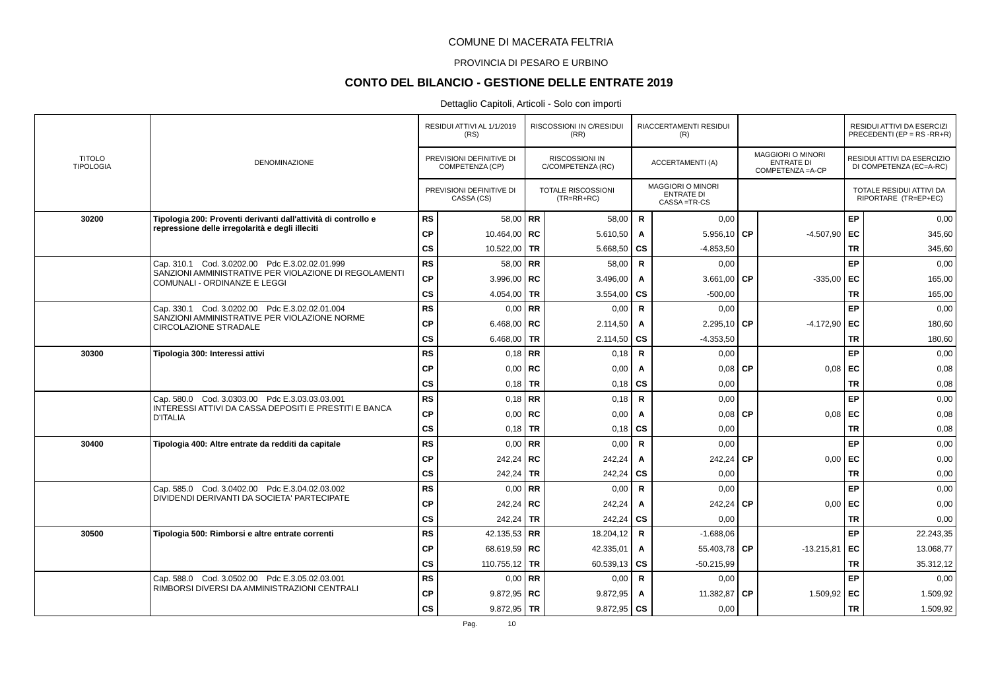### PROVINCIA DI PESARO E URBINO

# **CONTO DEL BILANCIO - GESTIONE DELLE ENTRATE 2019**

|                                   |                                                                                                |                        | RESIDUI ATTIVI AL 1/1/2019<br>(RS)          |           | RISCOSSIONI IN C/RESIDUI<br>(RR)           |              | RIACCERTAMENTI RESIDUI<br>(R)                                  |           |                                                           |           | RESIDUI ATTIVI DA ESERCIZI<br>PRECEDENTI (EP = RS -RR+R) |
|-----------------------------------|------------------------------------------------------------------------------------------------|------------------------|---------------------------------------------|-----------|--------------------------------------------|--------------|----------------------------------------------------------------|-----------|-----------------------------------------------------------|-----------|----------------------------------------------------------|
| <b>TITOLO</b><br><b>TIPOLOGIA</b> | <b>DENOMINAZIONE</b>                                                                           |                        | PREVISIONI DEFINITIVE DI<br>COMPETENZA (CP) |           | <b>RISCOSSIONI IN</b><br>C/COMPETENZA (RC) |              | ACCERTAMENTI (A)                                               |           | MAGGIORI O MINORI<br><b>ENTRATE DI</b><br>COMPETENZA=A-CP |           | RESIDUI ATTIVI DA ESERCIZIO<br>DI COMPETENZA (EC=A-RC)   |
|                                   |                                                                                                |                        | PREVISIONI DEFINITIVE DI<br>CASSA (CS)      |           | TOTALE RISCOSSIONI<br>$(TR=RR+RC)$         |              | <b>MAGGIORI O MINORI</b><br><b>ENTRATE DI</b><br>CASSA = TR-CS |           |                                                           |           | TOTALE RESIDUI ATTIVI DA<br>RIPORTARE (TR=EP+EC)         |
| 30200                             | Tipologia 200: Proventi derivanti dall'attività di controllo e                                 | RS                     | 58,00   RR                                  |           | 58,00                                      | $\mathbf R$  | 0,00                                                           |           |                                                           | EP        | 0,00                                                     |
|                                   | repressione delle irregolarità e degli illeciti                                                | <b>CP</b>              | 10.464,00   RC                              |           | 5.610,50                                   | A            | 5.956,10                                                       | l CP      | $-4.507,90$                                               | EC        | 345,60                                                   |
|                                   |                                                                                                | cs                     | 10.522,00                                   | <b>TR</b> | 5.668,50                                   | <b>CS</b>    | $-4.853,50$                                                    |           |                                                           | <b>TR</b> | 345,60                                                   |
|                                   | Cap. 310.1 Cod. 3.0202.00 Pdc E.3.02.02.01.999                                                 | RS                     | 58,00   RR                                  |           | 58,00                                      | R            | 0,00                                                           |           |                                                           | <b>EP</b> | 0,00                                                     |
|                                   | SANZIONI AMMINISTRATIVE PER VIOLAZIONE DI REGOLAMENTI<br>COMUNALI - ORDINANZE E LEGGI          | CP                     | 3.996,00   $RC$                             |           | 3.496,00                                   | A            | 3.661,00                                                       | <b>CP</b> | $-335,00$                                                 | EC        | 165,00                                                   |
|                                   |                                                                                                | cs                     | 4.054,00 TR                                 |           | 3.554,00                                   | <b>CS</b>    | $-500,00$                                                      |           |                                                           | <b>TR</b> | 165,00                                                   |
|                                   | Cap. 330.1 Cod. 3.0202.00 Pdc E.3.02.02.01.004                                                 | <b>RS</b>              | $0.00$ RR                                   |           | 0,00                                       | $\mathsf{R}$ | 0,00                                                           |           |                                                           | <b>EP</b> | 0,00                                                     |
|                                   | SANZIONI AMMINISTRATIVE PER VIOLAZIONE NORME<br><b>CIRCOLAZIONE STRADALE</b>                   | <b>CP</b>              | 6.468,00   RC                               |           | 2.114,50                                   | A            | 2.295,10 CP                                                    |           | $-4.172,90$ EC                                            |           | 180,60                                                   |
|                                   |                                                                                                | cs                     | 6.468,00 TR                                 |           | 2.114,50                                   | CS           | $-4.353,50$                                                    |           |                                                           | <b>TR</b> | 180,60                                                   |
| 30300                             | Tipologia 300: Interessi attivi                                                                | <b>RS</b>              | $0.18$ RR                                   |           | 0,18                                       | R            | 0,00                                                           |           |                                                           | <b>EP</b> | 0,00                                                     |
|                                   |                                                                                                | <b>CP</b>              | $0,00$ RC                                   |           | 0,00                                       | Α            | $0,08$ CP                                                      |           | $0,08$ EC                                                 |           | 0,08                                                     |
|                                   |                                                                                                | <b>CS</b>              | 0,18                                        | TR        | 0,18                                       | <b>CS</b>    | 0,00                                                           |           |                                                           | <b>TR</b> | 0,08                                                     |
|                                   | Cap. 580.0 Cod. 3.0303.00 Pdc E.3.03.03.03.001                                                 | <b>RS</b>              | $0.18$ RR                                   |           | 0.18                                       | $\mathsf{R}$ | 0.00                                                           |           |                                                           | <b>EP</b> | 0.00                                                     |
|                                   | INTERESSI ATTIVI DA CASSA DEPOSITI E PRESTITI E BANCA<br><b>D'ITALIA</b>                       | CP                     | 0,00                                        | RC        | 0,00                                       | A            | 0,08                                                           | <b>CP</b> | $0,08$ EC                                                 |           | 0,08                                                     |
|                                   |                                                                                                | cs                     | $0.18$ TR                                   |           | 0,18                                       | <b>CS</b>    | 0,00                                                           |           |                                                           | <b>TR</b> | 0,08                                                     |
| 30400                             | Tipologia 400: Altre entrate da redditi da capitale                                            | <b>RS</b>              |                                             | $0.00$ RR | 0,00                                       | $\mathsf{R}$ | 0,00                                                           |           |                                                           | <b>EP</b> | 0,00                                                     |
|                                   |                                                                                                | <b>CP</b>              | 242,24 RC                                   |           | 242,24                                     | A            | 242,24                                                         | <b>CP</b> | 0,00                                                      | EC        | 0,00                                                     |
|                                   |                                                                                                | <b>CS</b>              | 242,24 TR                                   |           | 242,24                                     | <b>CS</b>    | 0,00                                                           |           |                                                           | <b>TR</b> | 0,00                                                     |
|                                   | Cap. 585.0 Cod. 3.0402.00 Pdc E.3.04.02.03.002<br>DIVIDENDI DERIVANTI DA SOCIETA' PARTECIPATE  | RS                     | $0.00$ RR                                   |           | 0,00                                       | $\mathsf{R}$ | 0,00                                                           |           |                                                           | <b>EP</b> | 0,00                                                     |
|                                   |                                                                                                | CP                     | 242,24   RC                                 |           | 242,24                                     | A            | 242,24                                                         | СP        | 0,00                                                      | EC        | 0,00                                                     |
|                                   |                                                                                                | $\mathsf{cs}$          | 242,24                                      | TR        | 242,24                                     | <b>CS</b>    | 0,00                                                           |           |                                                           | <b>TR</b> | 0,00                                                     |
| 30500                             | Tipologia 500: Rimborsi e altre entrate correnti                                               | RS                     | 42.135,53 RR                                |           | 18.204,12                                  | $\mathsf{R}$ | $-1.688,06$                                                    |           |                                                           | <b>EP</b> | 22.243,35                                                |
|                                   |                                                                                                | <b>CP</b>              | 68.619,59   RC                              |           | 42.335,01                                  | $\mathsf{A}$ | 55.403,78 CP                                                   |           | $-13.215.81$                                              | l EC      | 13.068,77                                                |
|                                   |                                                                                                | <b>CS</b>              | 110.755,12   TR                             |           | 60.539,13                                  | <b>CS</b>    | $-50.215.99$                                                   |           |                                                           | <b>TR</b> | 35.312,12                                                |
|                                   | Cap. 588.0 Cod. 3.0502.00 Pdc E.3.05.02.03.001<br>RIMBORSI DIVERSI DA AMMINISTRAZIONI CENTRALI | <b>RS</b>              | $0,00$ RR                                   |           | 0,00                                       | $\mathbf R$  | 0,00                                                           |           |                                                           | <b>EP</b> | 0,00                                                     |
|                                   |                                                                                                | <b>CP</b>              | $9.872.95$ RC                               |           | 9.872,95                                   | Α            | 11.382,87                                                      | СP        | 1.509,92 EC                                               |           | 1.509,92                                                 |
|                                   |                                                                                                | $\mathbf{c}\mathbf{s}$ | $9.872,95$ TR                               |           | 9.872,95                                   | <b>CS</b>    | 0,00                                                           |           |                                                           | <b>TR</b> | 1.509,92                                                 |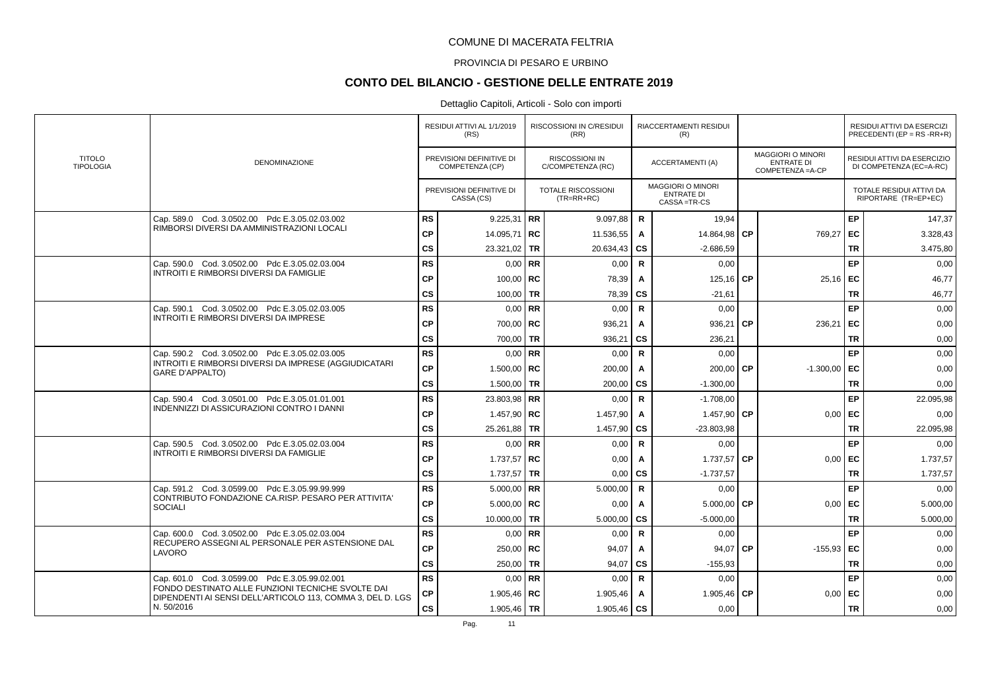### PROVINCIA DI PESARO E URBINO

# **CONTO DEL BILANCIO - GESTIONE DELLE ENTRATE 2019**

|                                   |                                                                                                                 |           | RESIDUI ATTIVI AL 1/1/2019<br>(RS)          | <b>RISCOSSIONI IN C/RESIDUI</b><br>(RR)    |                        | <b>RIACCERTAMENTI RESIDUI</b><br>(R)                         |           |                                                                    |           | <b>RESIDUI ATTIVI DA ESERCIZI</b><br>PRECEDENTI (EP = $RS$ -RR+R) |
|-----------------------------------|-----------------------------------------------------------------------------------------------------------------|-----------|---------------------------------------------|--------------------------------------------|------------------------|--------------------------------------------------------------|-----------|--------------------------------------------------------------------|-----------|-------------------------------------------------------------------|
| <b>TITOLO</b><br><b>TIPOLOGIA</b> | <b>DENOMINAZIONE</b>                                                                                            |           | PREVISIONI DEFINITIVE DI<br>COMPETENZA (CP) | <b>RISCOSSIONI IN</b><br>C/COMPETENZA (RC) |                        | ACCERTAMENTI (A)                                             |           | <b>MAGGIORI O MINORI</b><br><b>ENTRATE DI</b><br>COMPETENZA = A-CP |           | RESIDUI ATTIVI DA ESERCIZIO<br>DI COMPETENZA (EC=A-RC)            |
|                                   |                                                                                                                 |           | PREVISIONI DEFINITIVE DI<br>CASSA (CS)      | <b>TOTALE RISCOSSIONI</b><br>$(TR=RR+RC)$  |                        | <b>MAGGIORI O MINORI</b><br><b>ENTRATE DI</b><br>CASSA=TR-CS |           |                                                                    |           | TOTALE RESIDUI ATTIVI DA<br>RIPORTARE (TR=EP+EC)                  |
|                                   | Cap. 589.0 Cod. 3.0502.00 Pdc E.3.05.02.03.002                                                                  | <b>RS</b> | 9.225,31 RR                                 | 9.097,88                                   | $\mathsf{R}$           | 19,94                                                        |           |                                                                    | <b>EP</b> | 147,37                                                            |
|                                   | RIMBORSI DIVERSI DA AMMINISTRAZIONI LOCALI                                                                      | <b>CP</b> | 14.095,71   RC                              | 11.536,55                                  | A                      | 14.864,98                                                    | <b>CP</b> | 769,27                                                             | EC        | 3.328,43                                                          |
|                                   |                                                                                                                 | <b>CS</b> | 23.321,02 TR                                | 20.634,43                                  | $\mathbf{c}\mathbf{s}$ | $-2.686,59$                                                  |           |                                                                    | <b>TR</b> | 3.475,80                                                          |
|                                   | Cap. 590.0 Cod. 3.0502.00 Pdc E.3.05.02.03.004                                                                  | <b>RS</b> | $0,00$ RR                                   | 0,00                                       | $\mathsf{R}$           | 0,00                                                         |           |                                                                    | EP        | 0.00                                                              |
|                                   | INTROITI E RIMBORSI DIVERSI DA FAMIGLIE                                                                         | <b>CP</b> | $100,00$ RC                                 | 78,39                                      | Α                      | 125,16                                                       | <b>CP</b> | $25,16$ EC                                                         |           | 46,77                                                             |
|                                   |                                                                                                                 | <b>CS</b> | 100,00   TR                                 | 78,39                                      | <b>CS</b>              | $-21,61$                                                     |           |                                                                    | <b>TR</b> | 46,77                                                             |
|                                   | Cap. 590.1 Cod. 3.0502.00 Pdc E.3.05.02.03.005                                                                  | <b>RS</b> | $0,00$ RR                                   | 0,00                                       | $\mathsf{R}$           | 0,00                                                         |           |                                                                    | EP        | 0,00                                                              |
|                                   | <b>INTROITI E RIMBORSI DIVERSI DA IMPRESE</b>                                                                   | <b>CP</b> | 700,00   RC                                 | 936,21                                     | A                      | 936,21                                                       | <b>CP</b> | 236,21                                                             | l EC      | 0,00                                                              |
|                                   |                                                                                                                 | <b>CS</b> | 700,00 TR                                   | 936,21                                     | $\mathbf{c}\mathbf{s}$ | 236,21                                                       |           |                                                                    | <b>TR</b> | 0,00                                                              |
|                                   | Cap. 590.2 Cod. 3.0502.00 Pdc E.3.05.02.03.005                                                                  | <b>RS</b> | $0,00$ RR                                   | 0,00                                       | $\mathbf R$            | 0,00                                                         |           |                                                                    | EP        | 0,00                                                              |
|                                   | INTROITI E RIMBORSI DIVERSI DA IMPRESE (AGGIUDICATARI<br><b>GARE D'APPALTO)</b>                                 | <b>CP</b> | 1.500,00   RC                               | 200,00                                     | A                      | 200,00                                                       | <b>CP</b> | $-1.300,00$                                                        | l EC      | 0.00                                                              |
|                                   |                                                                                                                 | cs        | 1.500,00   TR                               | 200,00                                     | CS                     | $-1.300,00$                                                  |           |                                                                    | <b>TR</b> | 0,00                                                              |
|                                   | Cap. 590.4 Cod. 3.0501.00 Pdc E.3.05.01.01.001                                                                  | <b>RS</b> | $23.803.98$ RR                              | 0,00                                       | $\mathsf{R}$           | $-1.708,00$                                                  |           |                                                                    | <b>EP</b> | 22.095,98                                                         |
|                                   | INDENNIZZI DI ASSICURAZIONI CONTRO I DANNI                                                                      | <b>CP</b> | 1.457,90 RC                                 | 1.457,90                                   | A                      | 1.457,90 CP                                                  |           | $0,00$ EC                                                          |           | 0,00                                                              |
|                                   |                                                                                                                 | CS        | 25.261,88 TR                                | 1.457,90                                   | $\mathbf{c}\mathbf{s}$ | $-23.803.98$                                                 |           |                                                                    | <b>TR</b> | 22.095,98                                                         |
|                                   | Cap. 590.5 Cod. 3.0502.00 Pdc E.3.05.02.03.004                                                                  | <b>RS</b> | $0,00$ RR                                   | 0,00                                       | $\mathsf{R}$           | 0,00                                                         |           |                                                                    | EP        | 0,00                                                              |
|                                   | INTROITI E RIMBORSI DIVERSI DA FAMIGLIE                                                                         | <b>CP</b> | $1.737,57$ RC                               | 0,00                                       | A                      | 1.737,57                                                     | <b>CP</b> | $0,00$ EC                                                          |           | 1.737,57                                                          |
|                                   |                                                                                                                 | <b>CS</b> | 1.737,57 TR                                 | 0,00                                       | $\mathbf{c}\mathbf{s}$ | $-1.737.57$                                                  |           |                                                                    | <b>TR</b> | 1.737,57                                                          |
|                                   | Cap. 591.2 Cod. 3.0599.00 Pdc E.3.05.99.99.999                                                                  | <b>RS</b> | 5.000,00   RR                               | 5.000,00                                   | $\mathsf{R}$           | 0,00                                                         |           |                                                                    | <b>EP</b> | 0,00                                                              |
|                                   | CONTRIBUTO FONDAZIONE CA.RISP. PESARO PER ATTIVITA'<br>SOCIALI                                                  | <b>CP</b> | $5.000,00$ RC                               | 0,00                                       | A                      | $5.000,00$ CP                                                |           | 0,00                                                               | ∣ EC      | 5.000,00                                                          |
|                                   |                                                                                                                 | cs        | 10.000,00 TR                                | 5.000,00                                   | CS                     | $-5.000,00$                                                  |           |                                                                    | <b>TR</b> | 5.000,00                                                          |
|                                   | Cap. 600.0 Cod. 3.0502.00 Pdc E.3.05.02.03.004                                                                  | <b>RS</b> | $0,00$ RR                                   | 0,00                                       | R                      | 0,00                                                         |           |                                                                    | <b>EP</b> | 0,00                                                              |
|                                   | RECUPERO ASSEGNI AL PERSONALE PER ASTENSIONE DAL<br>LAVORO                                                      | <b>CP</b> | $250,00$ RC                                 | 94,07                                      | A                      | 94,07                                                        | l CP      | $-155,93$ EC                                                       |           | 0,00                                                              |
|                                   |                                                                                                                 | <b>CS</b> | $250,00$ TR                                 | 94,07                                      | $\mathbf{c}\mathbf{s}$ | $-155,93$                                                    |           |                                                                    | <b>TR</b> | 0,00                                                              |
|                                   | Cap. 601.0 Cod. 3.0599.00 Pdc E.3.05.99.02.001                                                                  | <b>RS</b> | $0,00$ RR                                   | 0,00                                       | $\mathsf{R}$           | 0,00                                                         |           |                                                                    | EP        | 0,00                                                              |
|                                   | FONDO DESTINATO ALLE FUNZIONI TECNICHE SVOLTE DAI<br>DIPENDENTI AI SENSI DELL'ARTICOLO 113, COMMA 3, DEL D. LGS | CP        | 1.905,46   RC                               | 1.905,46                                   | A                      | 1.905,46 $\overline{CP}$                                     |           | $0,00$ EC                                                          |           | 0,00                                                              |
|                                   | N. 50/2016                                                                                                      | <b>CS</b> | 1.905,46   TR                               | 1.905,46                                   | $\mathbf{c}\mathbf{s}$ | 0,00                                                         |           |                                                                    | <b>TR</b> | 0,00                                                              |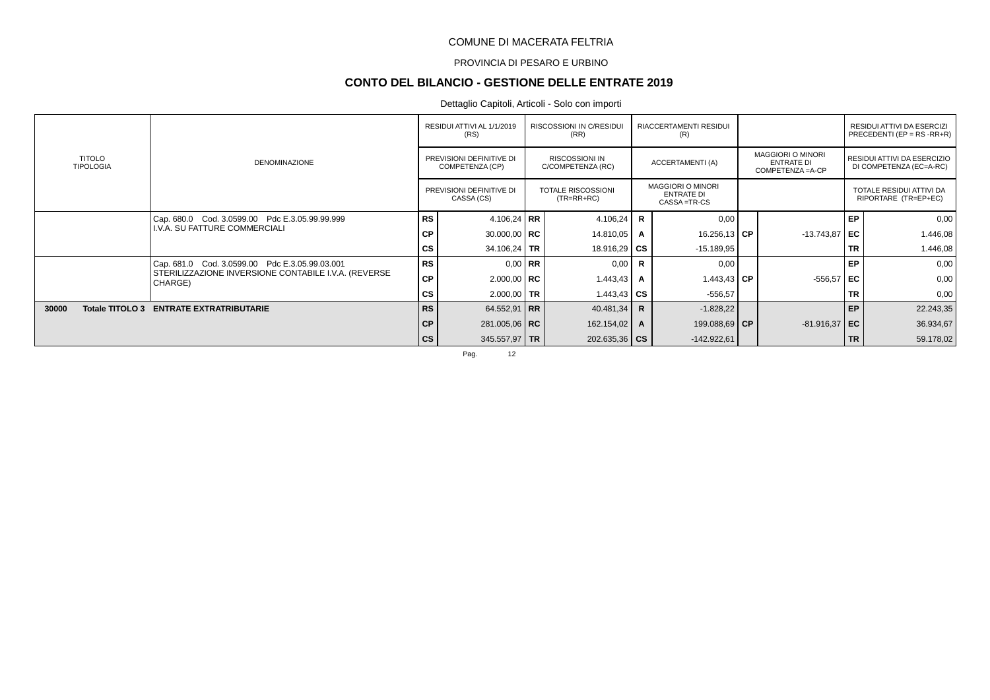### PROVINCIA DI PESARO E URBINO

# **CONTO DEL BILANCIO - GESTIONE DELLE ENTRATE 2019**

## Dettaglio Capitoli, Articoli - Solo con importi

|                                   |                                                                 |               | RESIDUI ATTIVI AL 1/1/2019<br>(RS)          | <b>RISCOSSIONI IN C/RESIDUI</b><br>(RR)    |              | RIACCERTAMENTI RESIDUI<br>(R)                                  |                                                                    |           | RESIDUI ATTIVI DA ESERCIZI<br>PRECEDENTI (EP = $RS$ - $RR+R$ ) |
|-----------------------------------|-----------------------------------------------------------------|---------------|---------------------------------------------|--------------------------------------------|--------------|----------------------------------------------------------------|--------------------------------------------------------------------|-----------|----------------------------------------------------------------|
| <b>TITOLO</b><br><b>TIPOLOGIA</b> | <b>DENOMINAZIONE</b>                                            |               | PREVISIONI DEFINITIVE DI<br>COMPETENZA (CP) | <b>RISCOSSIONI IN</b><br>C/COMPETENZA (RC) |              | ACCERTAMENTI (A)                                               | <b>MAGGIORI O MINORI</b><br><b>ENTRATE DI</b><br>COMPETENZA = A-CP |           | RESIDUI ATTIVI DA ESERCIZIO<br>DI COMPETENZA (EC=A-RC)         |
|                                   |                                                                 |               | PREVISIONI DEFINITIVE DI<br>CASSA (CS)      | <b>TOTALE RISCOSSIONI</b><br>$(TR=RR+RC)$  |              | <b>MAGGIORI O MINORI</b><br><b>ENTRATE DI</b><br>CASSA = TR-CS |                                                                    |           | TOTALE RESIDUI ATTIVI DA<br>RIPORTARE (TR=EP+EC)               |
|                                   | Cap. 680.0 Cod. 3.0599.00 Pdc E.3.05.99.99.999                  | <b>RS</b>     | 4.106,24 RR                                 | 4.106,24                                   | <b>R</b>     | 0,00                                                           |                                                                    | EP        | 0,00                                                           |
|                                   | I.V.A. SU FATTURE COMMERCIALI                                   | <b>CP</b>     | 30.000,00   $RC$                            | 14.810,05                                  | A            | 16.256,13 CP                                                   | $-13.743.87$                                                       | l EC      | 1.446,08                                                       |
|                                   |                                                                 | <b>CS</b>     | 34.106,24   TR                              | 18.916,29 $\overline{CS}$                  |              | $-15.189.95$                                                   |                                                                    | <b>TR</b> | 1.446,08                                                       |
|                                   | Cap. 681.0 Cod. 3.0599.00 Pdc E.3.05.99.03.001                  | <b>RS</b>     | $0.00$ RR                                   | 0,00                                       | R.           | 0,00                                                           |                                                                    | EP        | 0,00                                                           |
|                                   | STERILIZZAZIONE INVERSIONE CONTABILE I.V.A. (REVERSE<br>CHARGE) | <b>CP</b>     | $2.000,00$ RC                               | 1.443,43                                   | A            | 1.443,43 $\mathsf{CP}$                                         | $-556,57$ EC                                                       |           | 0,00                                                           |
|                                   |                                                                 | СS            | 2.000,00 TR                                 | 1.443,43 $\overline{\text{CS}}$            |              | $-556,57$                                                      |                                                                    | <b>TR</b> | 0,00                                                           |
| 30000<br>Totale TITOLO 3          | <b>ENTRATE EXTRATRIBUTARIE</b>                                  | <b>RS</b>     | 64.552,91 RR                                | 40.481,34                                  | $\mathsf{R}$ | $-1.828,22$                                                    |                                                                    | EP        | 22.243,35                                                      |
|                                   |                                                                 | <b>CP</b>     | 281.005,06   RC                             | 162.154,02                                 | A            | 199.088,69 CP                                                  | $-81.916,37$ EC                                                    |           | 36.934,67                                                      |
|                                   |                                                                 | $\mathsf{cs}$ | 345.557,97 TR                               | $202.635,36$ CS                            |              | $-142.922.61$                                                  |                                                                    | <b>TR</b> | 59.178,02                                                      |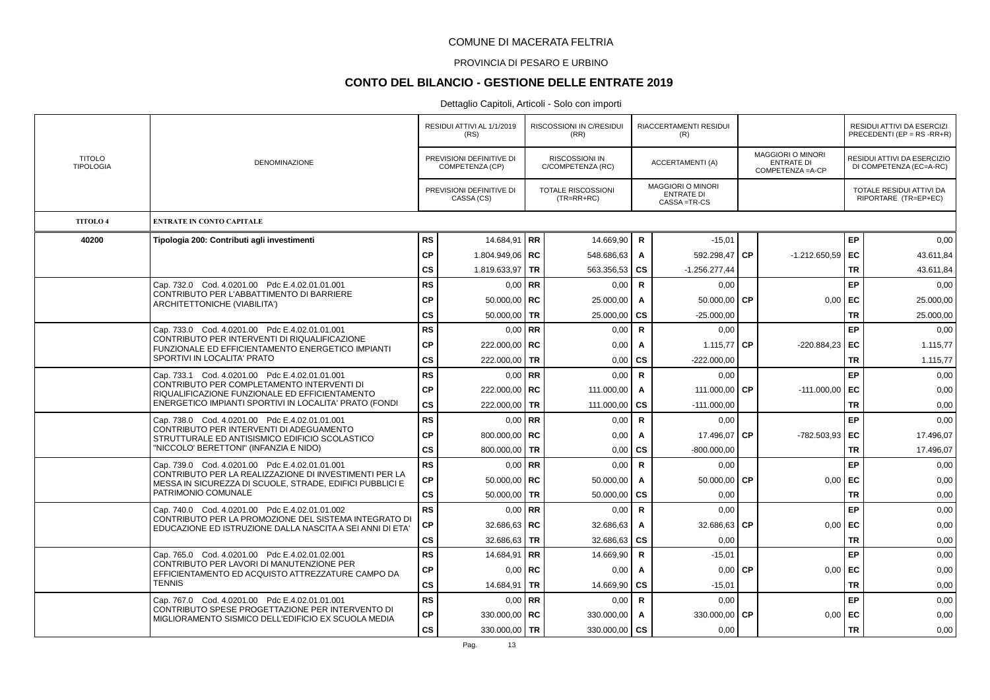#### PROVINCIA DI PESARO E URBINO

# **CONTO DEL BILANCIO - GESTIONE DELLE ENTRATE 2019**

|                                   |                                                                                                          |           | RESIDUI ATTIVI AL 1/1/2019<br>(RS)          |           | <b>RISCOSSIONI IN C/RESIDUI</b><br>(RR)    |              | <b>RIACCERTAMENTI RESIDUI</b><br>(R)                         |           |                                                                    |           | <b>RESIDUI ATTIVI DA ESERCIZI</b><br>PRECEDENTI (EP = $RS$ -RR+R) |
|-----------------------------------|----------------------------------------------------------------------------------------------------------|-----------|---------------------------------------------|-----------|--------------------------------------------|--------------|--------------------------------------------------------------|-----------|--------------------------------------------------------------------|-----------|-------------------------------------------------------------------|
| <b>TITOLO</b><br><b>TIPOLOGIA</b> | DENOMINAZIONE                                                                                            |           | PREVISIONI DEFINITIVE DI<br>COMPETENZA (CP) |           | <b>RISCOSSIONI IN</b><br>C/COMPETENZA (RC) |              | ACCERTAMENTI (A)                                             |           | <b>MAGGIORI O MINORI</b><br><b>ENTRATE DI</b><br>COMPETENZA = A-CP |           | RESIDUI ATTIVI DA ESERCIZIO<br>DI COMPETENZA (EC=A-RC)            |
|                                   |                                                                                                          |           | PREVISIONI DEFINITIVE DI<br>CASSA (CS)      |           | <b>TOTALE RISCOSSIONI</b><br>$(TR=RR+RC)$  |              | <b>MAGGIORI O MINORI</b><br><b>ENTRATE DI</b><br>CASSA=TR-CS |           |                                                                    |           | TOTALE RESIDUI ATTIVI DA<br>RIPORTARE (TR=EP+EC)                  |
| <b>TITOLO 4</b>                   | ENTRATE IN CONTO CAPITALE                                                                                |           |                                             |           |                                            |              |                                                              |           |                                                                    |           |                                                                   |
| 40200                             | Tipologia 200: Contributi agli investimenti                                                              | <b>RS</b> | 14.684,91   RR                              |           | 14.669,90                                  | R            | $-15,01$                                                     |           |                                                                    | EP        | 0,00                                                              |
|                                   |                                                                                                          | <b>CP</b> | 1.804.949,06   RC                           |           | 548.686,63                                 | A            | 592.298,47                                                   | <b>CP</b> | $-1.212.650,59$                                                    | EC        | 43.611,84                                                         |
|                                   |                                                                                                          | <b>CS</b> | 1.819.633,97   TR                           |           | 563.356,53                                 | <b>CS</b>    | $-1.256.277.44$                                              |           |                                                                    | <b>TR</b> | 43.611.84                                                         |
|                                   | Cap. 732.0 Cod. 4.0201.00 Pdc E.4.02.01.01.001<br>CONTRIBUTO PER L'ABBATTIMENTO DI BARRIERE              | <b>RS</b> | $0.00$ RR                                   |           | 0,00                                       | $\mathsf{R}$ | 0,00                                                         |           |                                                                    | EP        | 0.00                                                              |
|                                   | ARCHITETTONICHE (VIABILITA')                                                                             | <b>CP</b> | 50.000,00   $RC$                            |           | 25.000,00                                  | Α            | 50.000,00                                                    | <b>CP</b> | 0,00                                                               | EC        | 25.000,00                                                         |
|                                   |                                                                                                          | CS        | 50.000,00 TR                                |           | 25.000,00                                  | <b>CS</b>    | $-25.000,00$                                                 |           |                                                                    | <b>TR</b> | 25.000,00                                                         |
|                                   | Cap. 733.0 Cod. 4.0201.00 Pdc E.4.02.01.01.001<br>CONTRIBUTO PER INTERVENTI DI RIQUALIFICAZIONE          | <b>RS</b> | $0,00$ RR                                   |           | 0,00                                       | $\mathbf R$  | 0,00                                                         |           |                                                                    | <b>EP</b> | 0,00                                                              |
|                                   | FUNZIONALE ED EFFICIENTAMENTO ENERGETICO IMPIANTI                                                        | <b>CP</b> | 222.000,00   RC                             |           | 0,00                                       | $\mathbf{A}$ | 1.115.77 CP                                                  |           | $-220.884,23$ EC                                                   |           | 1.115,77                                                          |
|                                   | SPORTIVI IN LOCALITA' PRATO                                                                              | CS        | 222.000,00 TR                               |           | 0,00                                       | <b>CS</b>    | $-222.000,00$                                                |           |                                                                    | <b>TR</b> | 1.115,77                                                          |
|                                   | Cap. 733.1 Cod. 4.0201.00 Pdc E.4.02.01.01.001<br>CONTRIBUTO PER COMPLETAMENTO INTERVENTI DI             | <b>RS</b> | $0.00$ RR                                   |           | 0,00                                       | $\mathsf{R}$ | 0,00                                                         |           |                                                                    | EP        | 0,00                                                              |
|                                   | RIQUALIFICAZIONE FUNZIONALE ED EFFICIENTAMENTO                                                           | <b>CP</b> | 222.000,00   RC                             |           | 111.000,00                                 | Α            | 111.000,00                                                   | <b>CP</b> | $-111.000,00$                                                      | EC        | 0,00                                                              |
|                                   | ENERGETICO IMPIANTI SPORTIVI IN LOCALITA' PRATO (FONDI                                                   | cs        | 222.000,00 TR                               |           | 111.000,00                                 | <b>CS</b>    | $-111.000,00$                                                |           |                                                                    | <b>TR</b> | 0,00                                                              |
|                                   | Cap. 738.0 Cod. 4.0201.00 Pdc E.4.02.01.01.001<br>CONTRIBUTO PER INTERVENTI DI ADEGUAMENTO               | <b>RS</b> | $0.00$ RR                                   |           | 0,00                                       | $\mathsf{R}$ | 0,00                                                         |           |                                                                    | <b>EP</b> | 0.00                                                              |
|                                   | STRUTTURALE ED ANTISISMICO EDIFICIO SCOLASTICO                                                           | <b>CP</b> | 800.000,00 RC                               |           | 0,00                                       | Α            | 17.496,07                                                    | <b>CP</b> | -782.503,93                                                        | EC        | 17.496,07                                                         |
|                                   | "NICCOLO' BERETTONI" (INFANZIA E NIDO)                                                                   | CS        | 800.000,00 TR                               |           | 0,00                                       | <b>CS</b>    | $-800.000,00$                                                |           |                                                                    | <b>TR</b> | 17.496,07                                                         |
|                                   | Cap. 739.0 Cod. 4.0201.00 Pdc E.4.02.01.01.001<br>CONTRIBUTO PER LA REALIZZAZIONE DI INVESTIMENTI PER LA | <b>RS</b> | $0,00$ RR                                   |           | 0,00                                       | $\mathsf{R}$ | 0,00                                                         |           |                                                                    | <b>EP</b> | 0,00                                                              |
|                                   | MESSA IN SICUREZZA DI SCUOLE, STRADE, EDIFICI PUBBLICI E                                                 | СP        | 50.000,00   $RC$                            |           | 50.000,00                                  | A            | 50.000,00                                                    | <b>CP</b> | 0,00                                                               | EC        | 0,00                                                              |
|                                   | PATRIMONIO COMUNALE                                                                                      | <b>CS</b> | 50.000,00   TR                              |           | 50.000,00                                  | <b>CS</b>    | 0,00                                                         |           |                                                                    | <b>TR</b> | 0,00                                                              |
|                                   | Cap. 740.0 Cod. 4.0201.00 Pdc E.4.02.01.01.002<br>CONTRIBUTO PER LA PROMOZIONE DEL SISTEMA INTEGRATO DI  | <b>RS</b> | $0.00$ RR                                   |           | 0,00                                       | $\mathsf{R}$ | 0,00                                                         |           |                                                                    | EP        | 0,00                                                              |
|                                   | EDUCAZIONE ED ISTRUZIONE DALLA NASCITA A SEI ANNI DI ETA'                                                | <b>CP</b> | 32.686,63   RC                              |           | 32.686,63                                  | Α            | 32.686,63                                                    | <b>CP</b> | $0,00$ EC                                                          |           | 0,00                                                              |
|                                   |                                                                                                          | <b>CS</b> | 32.686,63   TR                              |           | 32.686,63                                  | <b>CS</b>    | 0,00                                                         |           |                                                                    | <b>TR</b> | 0,00                                                              |
|                                   | Cap. 765.0 Cod. 4.0201.00 Pdc E.4.02.01.02.001<br>CONTRIBUTO PER LAVORI DI MANUTENZIONE PER              | <b>RS</b> | 14.684,91   RR                              |           | 14.669,90                                  | $\mathsf{R}$ | $-15,01$                                                     |           |                                                                    | <b>EP</b> | 0,00                                                              |
|                                   | EFFICIENTAMENTO ED ACQUISTO ATTREZZATURE CAMPO DA                                                        | <b>CP</b> | $0,00$ RC                                   |           | 0,00                                       | A            | 0,00                                                         | <b>CP</b> | $0,00$   EC                                                        |           | 0,00                                                              |
|                                   | TENNIS                                                                                                   | <b>CS</b> | 14.684,91                                   | <b>TR</b> | 14.669,90                                  | <b>CS</b>    | $-15,01$                                                     |           |                                                                    | <b>TR</b> | 0,00                                                              |
|                                   | Cap. 767.0 Cod. 4.0201.00 Pdc E.4.02.01.01.001<br>CONTRIBUTO SPESE PROGETTAZIONE PER INTERVENTO DI       | <b>RS</b> | $0.00$ RR                                   |           | 0,00                                       | $\mathsf{R}$ | 0,00                                                         |           |                                                                    | <b>EP</b> | 0,00                                                              |
|                                   | MIGLIORAMENTO SISMICO DELL'EDIFICIO EX SCUOLA MEDIA                                                      | <b>CP</b> | 330.000,00   RC                             |           | 330.000,00                                 | $\mathbf{A}$ | 330.000,00                                                   | <b>CP</b> | 0,00                                                               | EC        | 0,00                                                              |
|                                   |                                                                                                          | CS        | 330.000,00 TR                               |           | 330.000,00                                 | CS           | 0,00                                                         |           |                                                                    | <b>TR</b> | 0,00                                                              |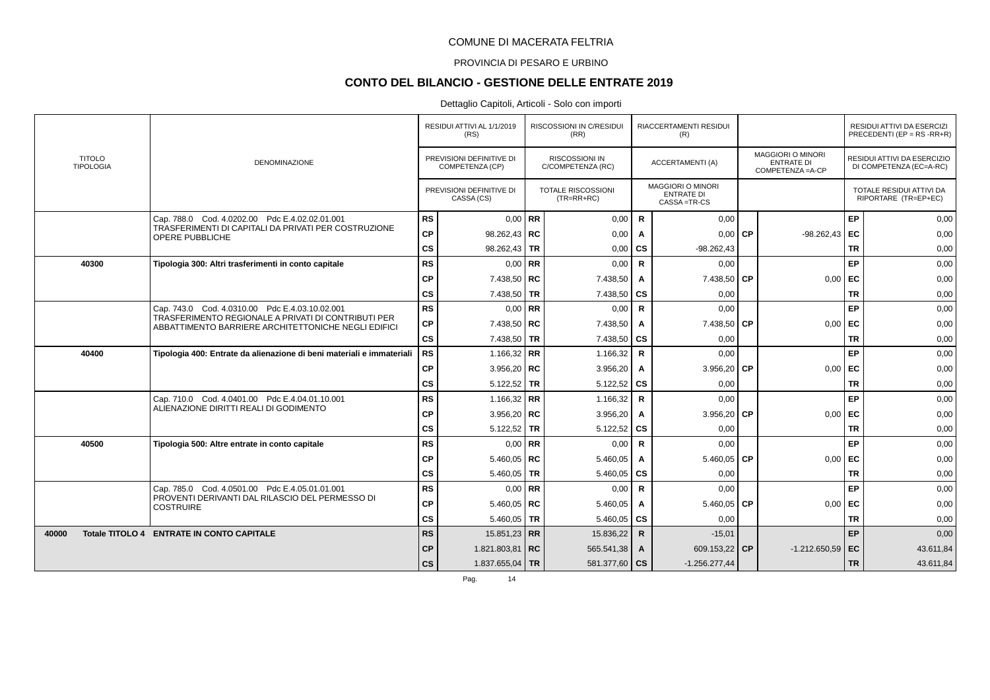### PROVINCIA DI PESARO E URBINO

# **CONTO DEL BILANCIO - GESTIONE DELLE ENTRATE 2019**

|       |                                   |                                                                                                            |               | RESIDUI ATTIVI AL 1/1/2019<br>(RS)          |    | RISCOSSIONI IN C/RESIDUI<br>(RR)           |                | RIACCERTAMENTI RESIDUI<br>(R)                                |      |                                                             |           | RESIDUI ATTIVI DA ESERCIZI<br>PRECEDENTI (EP = $RS$ -RR+R) |
|-------|-----------------------------------|------------------------------------------------------------------------------------------------------------|---------------|---------------------------------------------|----|--------------------------------------------|----------------|--------------------------------------------------------------|------|-------------------------------------------------------------|-----------|------------------------------------------------------------|
|       | <b>TITOLO</b><br><b>TIPOLOGIA</b> | <b>DENOMINAZIONE</b>                                                                                       |               | PREVISIONI DEFINITIVE DI<br>COMPETENZA (CP) |    | <b>RISCOSSIONI IN</b><br>C/COMPETENZA (RC) |                | ACCERTAMENTI (A)                                             |      | MAGGIORI O MINORI<br><b>ENTRATE DI</b><br>COMPETENZA = A-CP |           | RESIDUI ATTIVI DA ESERCIZIO<br>DI COMPETENZA (EC=A-RC)     |
|       |                                   |                                                                                                            |               | PREVISIONI DEFINITIVE DI<br>CASSA (CS)      |    | <b>TOTALE RISCOSSIONI</b><br>$(TR=RR+RC)$  |                | <b>MAGGIORI O MINORI</b><br><b>ENTRATE DI</b><br>CASSA=TR-CS |      |                                                             |           | TOTALE RESIDUI ATTIVI DA<br>RIPORTARE (TR=EP+EC)           |
|       |                                   | Cap. 788.0 Cod. 4.0202.00 Pdc E.4.02.02.01.001                                                             | RS            | $0.00$ RR                                   |    | 0,00                                       | $\mathsf{R}$   | 0,00                                                         |      |                                                             | EP        | 0,00                                                       |
|       |                                   | TRASFERIMENTI DI CAPITALI DA PRIVATI PER COSTRUZIONE<br>OPERE PUBBLICHE                                    | CP            | 98.262,43   RC                              |    | 0,00                                       | A              | 0,00                                                         | CP   | $-98.262,43$                                                | EC        | 0,00                                                       |
|       |                                   |                                                                                                            | $\mathsf{cs}$ | 98.262,43 TR                                |    | 0,00                                       | <b>CS</b>      | $-98.262,43$                                                 |      |                                                             | <b>TR</b> | 0,00                                                       |
|       | 40300                             | Tipologia 300: Altri trasferimenti in conto capitale                                                       | RS            | 0,00                                        | RR | 0,00                                       | R              | 0,00                                                         |      |                                                             | <b>EP</b> | 0,00                                                       |
|       |                                   |                                                                                                            | <b>CP</b>     | 7.438,50   RC                               |    | 7.438,50                                   | A              | 7.438,50                                                     | l CP | 0,00                                                        | l EC      | 0.00                                                       |
|       |                                   |                                                                                                            | cs            | 7.438,50 TR                                 |    | 7.438,50                                   | <b>CS</b>      | 0,00                                                         |      |                                                             | <b>TR</b> | 0,00                                                       |
|       |                                   | Cap. 743.0 Cod. 4.0310.00 Pdc E.4.03.10.02.001                                                             | <b>RS</b>     | $0.00$ RR                                   |    | 0,00                                       | $\mathsf{R}$   | 0,00                                                         |      |                                                             | <b>EP</b> | 0,00                                                       |
|       |                                   | TRASFERIMENTO REGIONALE A PRIVATI DI CONTRIBUTI PER<br>ABBATTIMENTO BARRIERE ARCHITETTONICHE NEGLI EDIFICI | CP            | 7.438,50   RC                               |    | 7.438,50                                   | A              | 7.438,50                                                     | l CP | 0,00                                                        | l EC      | 0,00                                                       |
|       |                                   |                                                                                                            | <b>CS</b>     | 7.438,50 TR                                 |    | 7.438,50                                   | <b>CS</b>      | 0,00                                                         |      |                                                             | <b>TR</b> | 0,00                                                       |
|       | 40400                             | Tipologia 400: Entrate da alienazione di beni materiali e immateriali                                      | RS            | 1.166.32 RR                                 |    | 1.166,32                                   | $\mathsf{R}$   | 0,00                                                         |      |                                                             | EP        | 0,00                                                       |
|       |                                   |                                                                                                            | <b>CP</b>     | 3.956,20   RC                               |    | 3.956,20                                   | A              | 3.956,20 CP                                                  |      | $0,00$ EC                                                   |           | 0,00                                                       |
|       |                                   |                                                                                                            | cs            | 5.122,52 TR                                 |    | 5.122,52                                   | <b>CS</b>      | 0,00                                                         |      |                                                             | <b>TR</b> | 0,00                                                       |
|       |                                   | Cap. 710.0 Cod. 4.0401.00 Pdc E.4.04.01.10.001                                                             | <b>RS</b>     | 1.166,32   RR                               |    | 1.166,32                                   | $\mathsf{R}$   | 0,00                                                         |      |                                                             | EP        | 0,00                                                       |
|       |                                   | ALIENAZIONE DIRITTI REALI DI GODIMENTO                                                                     | <b>CP</b>     | 3.956,20   RC                               |    | 3.956,20                                   | A              | 3.956,20 $\overline{CP}$                                     |      | $0,00$ EC                                                   |           | 0,00                                                       |
|       |                                   |                                                                                                            | $\mathsf{cs}$ | $5.122,52$ TR                               |    | 5.122,52                                   | <b>CS</b>      | 0,00                                                         |      |                                                             | <b>TR</b> | 0,00                                                       |
|       | 40500                             | Tipologia 500: Altre entrate in conto capitale                                                             | RS            | $0.00$ RR                                   |    | 0,00                                       | $\mathsf{R}$   | 0,00                                                         |      |                                                             | <b>EP</b> | 0,00                                                       |
|       |                                   |                                                                                                            | <b>CP</b>     | 5.460,05   RC                               |    | 5.460,05                                   | A              | 5.460,05                                                     | l CP | $0,00$ EC                                                   |           | 0,00                                                       |
|       |                                   |                                                                                                            | $\mathsf{cs}$ | 5.460,05   TR                               |    | 5.460,05                                   | <b>CS</b>      | 0,00                                                         |      |                                                             | <b>TR</b> | 0,00                                                       |
|       |                                   | Cap. 785.0 Cod. 4.0501.00 Pdc E.4.05.01.01.001                                                             | <b>RS</b>     | $0,00$ RR                                   |    | 0,00                                       | R              | 0,00                                                         |      |                                                             | <b>EP</b> | 0,00                                                       |
|       |                                   | PROVENTI DERIVANTI DAL RILASCIO DEL PERMESSO DI<br><b>COSTRUIRE</b>                                        | <b>CP</b>     | 5.460,05   RC                               |    | 5.460,05                                   | $\overline{A}$ | 5.460,05 $\,$ CP                                             |      | 0,00                                                        | l EC      | 0,00                                                       |
|       |                                   |                                                                                                            | $\mathsf{cs}$ | 5.460,05   TR                               |    | 5.460,05                                   | <b>CS</b>      | 0,00                                                         |      |                                                             | <b>TR</b> | 0,00                                                       |
| 40000 |                                   | Totale TITOLO 4 ENTRATE IN CONTO CAPITALE                                                                  | <b>RS</b>     | 15.851,23 RR                                |    | 15.836,22                                  | $\mathsf{R}$   | $-15,01$                                                     |      |                                                             | <b>EP</b> | 0,00                                                       |
|       |                                   |                                                                                                            | <b>CP</b>     | 1.821.803,81   RC                           |    | 565.541,38                                 | $\mathbf{A}$   | 609.153,22 CP                                                |      | $-1.212.650,59$ EC                                          |           | 43.611,84                                                  |
|       |                                   |                                                                                                            | <b>CS</b>     | 1.837.655,04 TR                             |    | 581.377,60 CS                              |                | $-1.256.277,44$                                              |      |                                                             | <b>TR</b> | 43.611,84                                                  |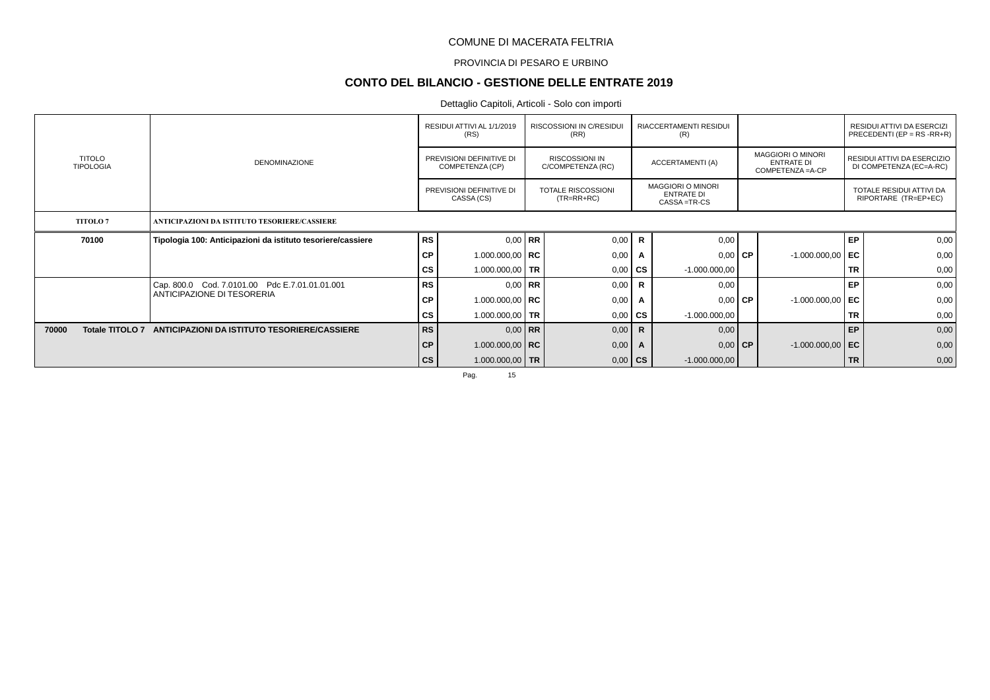### PROVINCIA DI PESARO E URBINO

# **CONTO DEL BILANCIO - GESTIONE DELLE ENTRATE 2019**

## Dettaglio Capitoli, Articoli - Solo con importi

|       |                                   |                                                             |                                             | RESIDUI ATTIVI AL 1/1/2019<br>(RS)     |                                            | <b>RISCOSSIONI IN C/RESIDUI</b><br>(RR)   |                         | RIACCERTAMENTI RESIDUI<br>(R)                                  |                                                                    |                    |                                                        | RESIDUI ATTIVI DA ESERCIZI<br>PRECEDENTI (EP = $RS$ -RR+R) |
|-------|-----------------------------------|-------------------------------------------------------------|---------------------------------------------|----------------------------------------|--------------------------------------------|-------------------------------------------|-------------------------|----------------------------------------------------------------|--------------------------------------------------------------------|--------------------|--------------------------------------------------------|------------------------------------------------------------|
|       | <b>TITOLO</b><br><b>TIPOLOGIA</b> | <b>DENOMINAZIONE</b>                                        | PREVISIONI DEFINITIVE DI<br>COMPETENZA (CP) |                                        | <b>RISCOSSIONI IN</b><br>C/COMPETENZA (RC) |                                           | <b>ACCERTAMENTI (A)</b> |                                                                | <b>MAGGIORI O MINORI</b><br><b>ENTRATE DI</b><br>COMPETENZA = A-CP |                    | RESIDUI ATTIVI DA ESERCIZIO<br>DI COMPETENZA (EC=A-RC) |                                                            |
|       |                                   |                                                             |                                             | PREVISIONI DEFINITIVE DI<br>CASSA (CS) |                                            | <b>TOTALE RISCOSSIONI</b><br>$(TR=RR+RC)$ |                         | <b>MAGGIORI O MINORI</b><br><b>ENTRATE DI</b><br>CASSA = TR-CS |                                                                    |                    |                                                        | TOTALE RESIDUI ATTIVI DA<br>RIPORTARE (TR=EP+EC)           |
|       | <b>TITOLO7</b>                    | ANTICIPAZIONI DA ISTITUTO TESORIERE/CASSIERE                |                                             |                                        |                                            |                                           |                         |                                                                |                                                                    |                    |                                                        |                                                            |
|       | 70100                             | Tipologia 100: Anticipazioni da istituto tesoriere/cassiere | <b>RS</b>                                   | $0.00$ RR                              |                                            | 0,00                                      | $\mathbf R$             | 0,00                                                           |                                                                    |                    | EP                                                     | 0,00                                                       |
|       |                                   |                                                             | <b>CP</b>                                   | 1.000.000,00   RC                      |                                            | 0,00                                      | A                       | $0,00$ CP                                                      |                                                                    | $-1.000.000,00$ EC |                                                        | 0,00                                                       |
|       |                                   |                                                             | CS                                          | 1.000.000,00   TR                      |                                            | 0,00                                      | CS                      | $-1.000.000,00$                                                |                                                                    |                    | <b>TR</b>                                              | 0,00                                                       |
|       |                                   | Cap. 800.0 Cod. 7.0101.00 Pdc E.7.01.01.01.001              | <b>RS</b>                                   | $0.00 \mid \mathsf{RR}$                |                                            | 0,00                                      | R                       | 0,00                                                           |                                                                    |                    | EP                                                     | 0,00                                                       |
|       |                                   | ANTICIPAZIONE DI TESORERIA                                  | СP                                          | 1.000.000,00   RC                      |                                            | 0,00                                      | A                       | $0,00$ CP                                                      |                                                                    | $-1.000.000,00$ EC |                                                        | 0,00                                                       |
|       |                                   |                                                             | CS                                          | 1.000.000,00 TR                        |                                            | 0,00                                      | <b>CS</b>               | $-1.000.000,00$                                                |                                                                    |                    | <b>TR</b>                                              | 0,00                                                       |
| 70000 | <b>Totale TITOLO 7</b>            | ANTICIPAZIONI DA ISTITUTO TESORIERE/CASSIERE                | <b>RS</b>                                   | $0,00$ RR                              |                                            | 0,00                                      | $\mathsf{R}$            | 0,00                                                           |                                                                    |                    | EP                                                     | 0,00                                                       |
|       |                                   |                                                             | CP                                          | 1.000.000,00   RC                      |                                            | 0,00                                      | A                       | $0,00$ CP                                                      |                                                                    | $-1.000.000,00$ EC |                                                        | 0,00                                                       |
|       |                                   |                                                             | $\mathsf{cs}$                               | 1.000.000,00 TR                        |                                            | 0,00                                      | $\mathsf{cs}$           | $-1.000.000,00$                                                |                                                                    |                    | <b>TR</b>                                              | 0,00                                                       |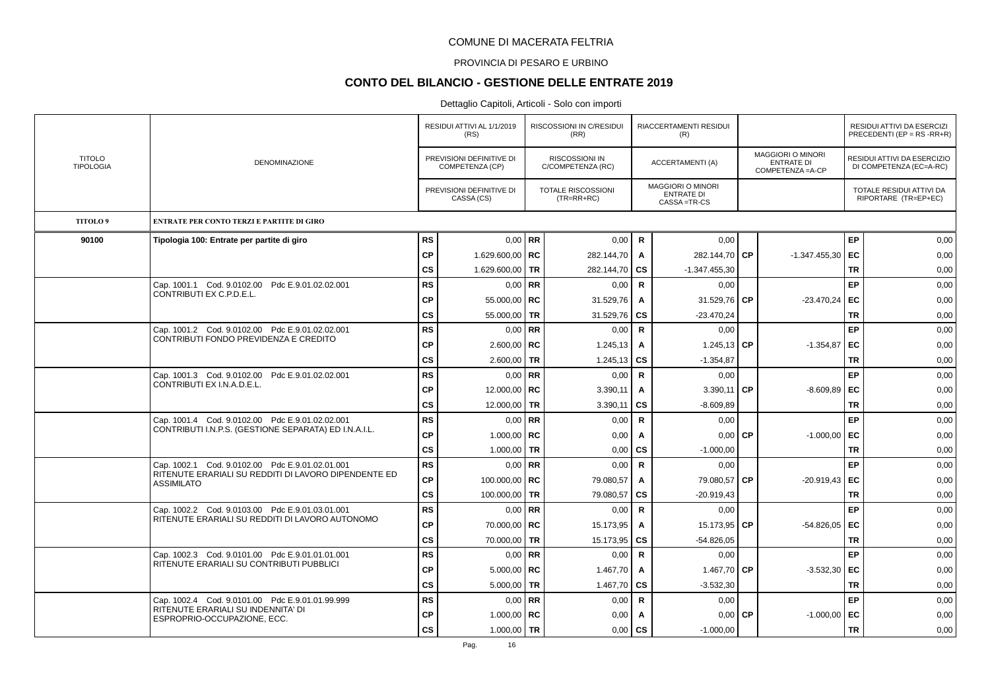#### PROVINCIA DI PESARO E URBINO

# **CONTO DEL BILANCIO - GESTIONE DELLE ENTRATE 2019**

|                                   |                                                                                                          |                        | RESIDUI ATTIVI AL 1/1/2019<br>(RS)          |           | <b>RISCOSSIONI IN C/RESIDUI</b><br>(RR)    |                           | <b>RIACCERTAMENTI RESIDUI</b><br>(R)                         |           |                                                                    |                        | <b>RESIDUI ATTIVI DA ESERCIZI</b><br>PRECEDENTI (EP = $RS$ -RR+R) |
|-----------------------------------|----------------------------------------------------------------------------------------------------------|------------------------|---------------------------------------------|-----------|--------------------------------------------|---------------------------|--------------------------------------------------------------|-----------|--------------------------------------------------------------------|------------------------|-------------------------------------------------------------------|
| <b>TITOLO</b><br><b>TIPOLOGIA</b> | DENOMINAZIONE                                                                                            |                        | PREVISIONI DEFINITIVE DI<br>COMPETENZA (CP) |           | <b>RISCOSSIONI IN</b><br>C/COMPETENZA (RC) |                           | ACCERTAMENTI (A)                                             |           | <b>MAGGIORI O MINORI</b><br><b>ENTRATE DI</b><br>COMPETENZA = A-CP |                        | RESIDUI ATTIVI DA ESERCIZIO<br>DI COMPETENZA (EC=A-RC)            |
|                                   |                                                                                                          |                        | PREVISIONI DEFINITIVE DI<br>CASSA (CS)      |           | TOTALE RISCOSSIONI<br>$(TR=RR+RC)$         |                           | <b>MAGGIORI O MINORI</b><br><b>ENTRATE DI</b><br>CASSA=TR-CS |           |                                                                    |                        | TOTALE RESIDUI ATTIVI DA<br>RIPORTARE (TR=EP+EC)                  |
| TITOLO <sup>9</sup>               | ENTRATE PER CONTO TERZI E PARTITE DI GIRO                                                                |                        |                                             |           |                                            |                           |                                                              |           |                                                                    |                        |                                                                   |
| 90100                             | Tipologia 100: Entrate per partite di giro                                                               | <b>RS</b>              |                                             | $0.00$ RR | 0,00                                       | R                         | 0,00                                                         |           |                                                                    | EP                     | 0,00                                                              |
|                                   |                                                                                                          | <b>CP</b>              | 1.629.600,00   RC                           |           | 282.144,70                                 | $\mathsf{A}$              | 282.144.70 CP                                                |           | $-1.347.455.30$                                                    | l EC                   | 0.00                                                              |
|                                   |                                                                                                          | <b>CS</b>              | 1.629.600,00 TR                             |           | 282.144,70                                 | CS                        | $-1.347.455,30$                                              |           |                                                                    | <b>TR</b>              | 0,00                                                              |
|                                   | Cap. 1001.1 Cod. 9.0102.00 Pdc E.9.01.02.02.001<br>CONTRIBUTI EX C.P.D.E.L.                              | <b>RS</b>              |                                             | $0.00$ RR | 0,00                                       | $\mathsf{R}$              | 0,00                                                         |           |                                                                    | <b>EP</b>              | 0,00                                                              |
|                                   |                                                                                                          | CP                     | 55.000,00   RC                              |           | 31.529,76                                  | Α                         | 31.529,76                                                    | СP        | $-23.470,24$ EC                                                    |                        | 0,00                                                              |
|                                   |                                                                                                          | <b>CS</b>              | 55.000,00 TR                                |           | 31.529,76                                  | <b>CS</b>                 | $-23.470,24$                                                 |           |                                                                    | <b>TR</b>              | 0,00                                                              |
|                                   | Cap. 1001.2 Cod. 9.0102.00 Pdc E.9.01.02.02.001<br>CONTRIBUTI FONDO PREVIDENZA E CREDITO                 | <b>RS</b>              |                                             | $0,00$ RR | 0,00                                       | $\mathsf{R}$              | 0,00                                                         |           |                                                                    | <b>EP</b>              | 0,00                                                              |
|                                   |                                                                                                          | <b>CP</b>              | $2.600,00$ RC                               |           | 1.245,13                                   | Α                         | 1.245,13 CP                                                  |           | $-1.354,87$                                                        | EC.                    | 0,00                                                              |
|                                   |                                                                                                          | CS                     | $2.600,00$ TR                               |           | 1.245,13                                   | CS                        | $-1.354,87$                                                  |           |                                                                    | TR                     | 0,00                                                              |
|                                   | Cap. 1001.3 Cod. 9.0102.00 Pdc E.9.01.02.02.001<br>CONTRIBUTI EX I.N.A.D.E.L.                            | RS                     |                                             | $0,00$ RR | 0,00                                       | $\mathsf{R}$              | 0,00                                                         |           |                                                                    | EP                     | 0,00                                                              |
|                                   |                                                                                                          | <b>CP</b>              | 12.000,00   RC                              |           | 3.390,11                                   | Α                         | $3.390,11$ CP                                                |           | $-8.609.89$ EC                                                     |                        | 0,00                                                              |
|                                   |                                                                                                          | $\mathsf{cs}$          | 12.000,00 TR                                |           | 3.390,11                                   | <b>CS</b>                 | $-8.609.89$                                                  |           |                                                                    | <b>TR</b>              | 0,00                                                              |
|                                   | Cap. 1001.4 Cod. 9.0102.00 Pdc E.9.01.02.02.001<br>CONTRIBUTI I.N.P.S. (GESTIONE SEPARATA) ED I.N.A.I.L. | <b>RS</b>              | $0,00$ RR                                   |           | 0,00                                       | $\mathsf{R}$              | 0,00                                                         |           |                                                                    | <b>EP</b>              | 0,00                                                              |
|                                   |                                                                                                          | CP                     | 1.000,00   $RC$                             |           | 0,00                                       | Α                         | 0,00                                                         | <b>CP</b> | $-1.000,00$ EC                                                     |                        | 0,00                                                              |
|                                   |                                                                                                          | $\mathsf{cs}$          | 1.000,00 TR                                 |           | 0,00                                       | <b>CS</b>                 | $-1.000,00$                                                  |           |                                                                    | <b>TR</b>              | 0,00                                                              |
|                                   | Cap. 1002.1 Cod. 9.0102.00 Pdc E.9.01.02.01.001<br>RITENUTE ERARIALI SU REDDITI DI LAVORO DIPENDENTE ED  | <b>RS</b>              |                                             | $0,00$ RR | 0,00                                       | R                         | 0,00                                                         |           |                                                                    | <b>EP</b>              | 0,00                                                              |
|                                   | <b>ASSIMILATO</b>                                                                                        | <b>CP</b>              | 100.000,00   RC                             |           | 79.080,57                                  | Α                         | 79.080,57                                                    | <b>CP</b> | $-20.919,43$                                                       | EC                     | 0,00                                                              |
|                                   |                                                                                                          | cs                     | 100.000,00 TR                               |           | 79.080,57                                  | CS                        | $-20.919,43$                                                 |           |                                                                    | <b>TR</b>              | 0,00                                                              |
|                                   | Cap. 1002.2 Cod. 9.0103.00 Pdc E.9.01.03.01.001<br>RITENUTE ERARIALI SU REDDITI DI LAVORO AUTONOMO       | <b>RS</b>              | $0,00$ RR                                   |           | 0,00                                       | R                         | 0,00                                                         |           |                                                                    | EP                     | 0,00                                                              |
|                                   |                                                                                                          | <b>CP</b>              | 70.000,00 RC                                |           | 15.173,95                                  | A                         | 15.173,95                                                    | l CP      | $-54.826.05$ EC                                                    |                        | 0,00                                                              |
|                                   |                                                                                                          | <b>CS</b><br><b>RS</b> | 70.000,00 TR                                |           | 15.173,95                                  | <b>CS</b>                 | $-54.826.05$                                                 |           |                                                                    | <b>TR</b><br><b>EP</b> | 0,00                                                              |
|                                   | Cap. 1002.3 Cod. 9.0101.00 Pdc E.9.01.01.01.001<br>RITENUTE ERARIALI SU CONTRIBUTI PUBBLICI              | <b>CP</b>              |                                             | $0.00$ RR | 0,00                                       | $\mathsf{R}$              | 0,00                                                         |           |                                                                    | l EC.                  | 0,00<br>0.00                                                      |
|                                   |                                                                                                          | <b>CS</b>              | $5.000,00$   RC                             |           | 1.467,70                                   | A                         | 1.467,70 CP                                                  |           | $-3.532,30$                                                        | <b>TR</b>              |                                                                   |
|                                   | Cap. 1002.4 Cod. 9.0101.00 Pdc E.9.01.01.99.999                                                          | <b>RS</b>              | $5.000,00$ TR                               | $0.00$ RR | 1.467,70<br>0,00                           | <b>CS</b><br>$\mathsf{R}$ | $-3.532,30$                                                  |           |                                                                    | <b>EP</b>              | 0,00<br>0,00                                                      |
|                                   | RITENUTE ERARIALI SU INDENNITA' DI                                                                       | CP                     | 1.000,00   $RC$                             |           | 0,00                                       |                           | 0,00                                                         | СP        | $-1.000,00$                                                        | EC                     | 0,00                                                              |
|                                   | ESPROPRIO-OCCUPAZIONE, ECC.                                                                              | <b>CS</b>              | $1.000,00$ TR                               |           | 0,00                                       | A<br>CS                   | 0,00<br>$-1.000,00$                                          |           |                                                                    | <b>TR</b>              | 0,00                                                              |
|                                   |                                                                                                          |                        |                                             |           |                                            |                           |                                                              |           |                                                                    |                        |                                                                   |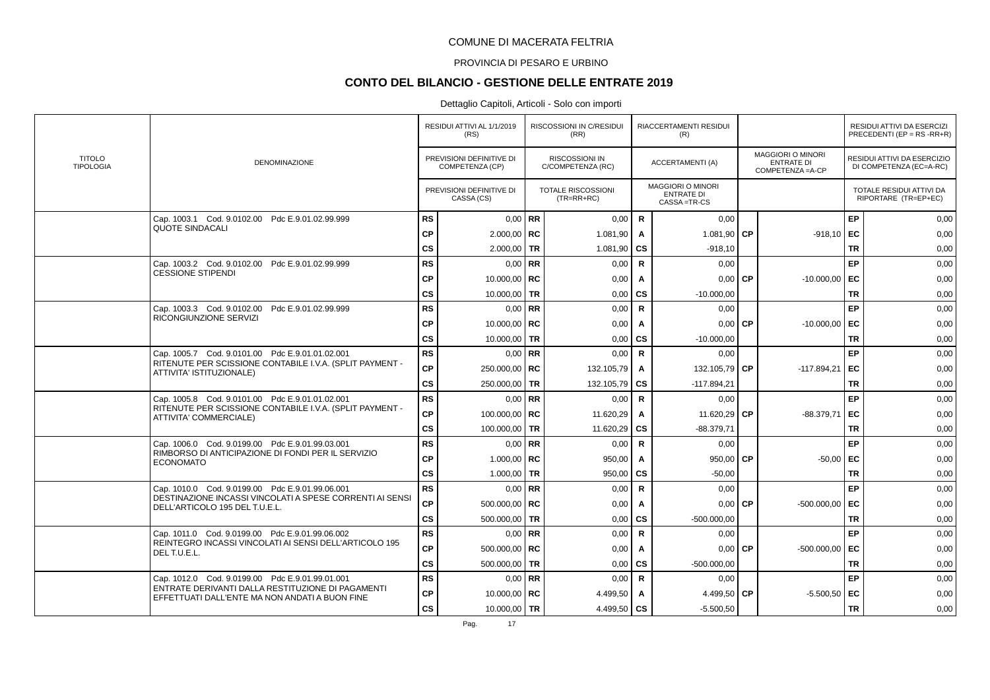### PROVINCIA DI PESARO E URBINO

# **CONTO DEL BILANCIO - GESTIONE DELLE ENTRATE 2019**

|                                   |                                                                                                     |               | RESIDUI ATTIVI AL 1/1/2019<br>(RS)          |           | <b>RISCOSSIONI IN C/RESIDUI</b><br>(RR)    |              | RIACCERTAMENTI RESIDUI<br>(R)                                |           |                                                             |           | RESIDUI ATTIVI DA ESERCIZI<br>PRECEDENTI (EP = $RS$ -RR+R) |
|-----------------------------------|-----------------------------------------------------------------------------------------------------|---------------|---------------------------------------------|-----------|--------------------------------------------|--------------|--------------------------------------------------------------|-----------|-------------------------------------------------------------|-----------|------------------------------------------------------------|
| <b>TITOLO</b><br><b>TIPOLOGIA</b> | DENOMINAZIONE                                                                                       |               | PREVISIONI DEFINITIVE DI<br>COMPETENZA (CP) |           | <b>RISCOSSIONI IN</b><br>C/COMPETENZA (RC) |              | ACCERTAMENTI (A)                                             |           | <b>MAGGIORI O MINORI</b><br>ENTRATE DI<br>COMPETENZA = A-CP |           | RESIDUI ATTIVI DA ESERCIZIO<br>DI COMPETENZA (EC=A-RC)     |
|                                   |                                                                                                     |               | PREVISIONI DEFINITIVE DI<br>CASSA (CS)      |           | <b>TOTALE RISCOSSIONI</b><br>$(TR=RR+RC)$  |              | <b>MAGGIORI O MINORI</b><br><b>ENTRATE DI</b><br>CASSA=TR-CS |           |                                                             |           | TOTALE RESIDUI ATTIVI DA<br>RIPORTARE (TR=EP+EC)           |
|                                   | Cap. 1003.1 Cod. 9.0102.00 Pdc E.9.01.02.99.999                                                     | <b>RS</b>     | $0.00$ RR                                   |           | 0,00                                       | $\mathsf{R}$ | 0,00                                                         |           |                                                             | EP        | 0,00                                                       |
|                                   | <b>QUOTE SINDACALI</b>                                                                              | <b>CP</b>     | $2.000,00$ RC                               |           | 1.081,90                                   | A            | 1.081,90 CP                                                  |           | $-918,10$ EC                                                |           | 0,00                                                       |
|                                   |                                                                                                     | cs            | 2.000,00                                    | <b>TR</b> | 1.081,90                                   | <b>CS</b>    | $-918,10$                                                    |           |                                                             | <b>TR</b> | 0,00                                                       |
|                                   | Cap. 1003.2 Cod. 9.0102.00 Pdc E.9.01.02.99.999                                                     | <b>RS</b>     |                                             | $0.00$ RR | 0,00                                       | $\mathsf{R}$ | 0,00                                                         |           |                                                             | EP        | 0,00                                                       |
|                                   | <b>CESSIONE STIPENDI</b>                                                                            | <b>CP</b>     | 10.000,00   $RC$                            |           | 0,00                                       | A            | 0,00                                                         | l CP      | $-10.000,00$ EC                                             |           | 0,00                                                       |
|                                   |                                                                                                     | <b>CS</b>     | 10.000,00   TR                              |           | 0,00                                       | <b>CS</b>    | $-10.000,00$                                                 |           |                                                             | <b>TR</b> | 0,00                                                       |
|                                   | Cap. 1003.3 Cod. 9.0102.00 Pdc E.9.01.02.99.999                                                     | <b>RS</b>     |                                             | $0.00$ RR | 0.00                                       | $\mathsf{R}$ | 0.00                                                         |           |                                                             | EP        | 0,00                                                       |
|                                   | RICONGIUNZIONE SERVIZI                                                                              | <b>CP</b>     | 10.000,00   RC                              |           | 0,00                                       | A            |                                                              | $0,00$ CP | $-10.000,00$ EC                                             |           | 0,00                                                       |
|                                   |                                                                                                     | <b>CS</b>     | 10.000,00 TR                                |           | 0,00                                       | CS           | $-10.000,00$                                                 |           |                                                             | TR        | 0,00                                                       |
|                                   | Cap. 1005.7 Cod. 9.0101.00 Pdc E.9.01.01.02.001                                                     | <b>RS</b>     | $0.00$ RR                                   |           | 0,00                                       | R            | 0,00                                                         |           |                                                             | EP        | 0,00                                                       |
|                                   | RITENUTE PER SCISSIONE CONTABILE I.V.A. (SPLIT PAYMENT -<br>ATTIVITA' ISTITUZIONALE)                | <b>CP</b>     | 250.000,00   RC                             |           | 132.105,79                                 | A            | 132.105,79                                                   | l CP      | $-117.894,21$                                               | EC        | 0,00                                                       |
|                                   |                                                                                                     | cs            | 250.000,00                                  | <b>TR</b> | 132.105,79   CS                            |              | $-117.894,21$                                                |           |                                                             | <b>TR</b> | 0,00                                                       |
|                                   | Cap. 1005.8 Cod. 9.0101.00 Pdc E.9.01.01.02.001                                                     | <b>RS</b>     | $0.00$ RR                                   |           | 0,00                                       | $\mathsf{R}$ | 0,00                                                         |           |                                                             | EP        | 0,00                                                       |
|                                   | RITENUTE PER SCISSIONE CONTABILE I.V.A. (SPLIT PAYMENT -<br>ATTIVITA' COMMERCIALE)                  | <b>CP</b>     | 100.000,00   RC                             |           | 11.620,29                                  | $\mathbf{A}$ | 11.620,29 CP                                                 |           | $-88.379.71$                                                | EC        | 0,00                                                       |
|                                   |                                                                                                     | $\mathsf{cs}$ | 100.000,00                                  | <b>TR</b> | 11.620,29                                  | <b>CS</b>    | $-88.379.71$                                                 |           |                                                             | <b>TR</b> | 0,00                                                       |
|                                   | Cap. 1006.0 Cod. 9.0199.00 Pdc E.9.01.99.03.001                                                     | <b>RS</b>     | $0.00$ RR                                   |           | 0,00                                       | $\mathsf{R}$ | 0,00                                                         |           |                                                             | EP        | 0,00                                                       |
|                                   | RIMBORSO DI ANTICIPAZIONE DI FONDI PER IL SERVIZIO<br><b>ECONOMATO</b>                              | <b>CP</b>     | 1.000,00   $RC$                             |           | 950,00                                     | A            | 950,00                                                       | <b>CP</b> | $-50,00$ EC                                                 |           | 0,00                                                       |
|                                   |                                                                                                     | <b>CS</b>     | 1.000,00                                    | TR        | 950,00                                     | CS           | $-50,00$                                                     |           |                                                             | TR        | 0,00                                                       |
|                                   | Cap. 1010.0 Cod. 9.0199.00 Pdc E.9.01.99.06.001                                                     | <b>RS</b>     | $0.00$ RR                                   |           | 0,00                                       | R            | 0,00                                                         |           |                                                             | EP        | 0,00                                                       |
|                                   | DESTINAZIONE INCASSI VINCOLATI A SPESE CORRENTI AI SENSI<br>DELL'ARTICOLO 195 DEL T.U.E.L.          | <b>CP</b>     | 500.000,00   RC                             |           | 0,00                                       | A            |                                                              | $0,00$ CP | $-500.000,00$                                               | EC        | 0,00                                                       |
|                                   |                                                                                                     | cs            | 500.000,00 TR                               |           | 0,00                                       | CS           | $-500.000,00$                                                |           |                                                             | <b>TR</b> | 0,00                                                       |
|                                   | Cap. 1011.0 Cod. 9.0199.00 Pdc E.9.01.99.06.002                                                     | <b>RS</b>     | $0,00$ RR                                   |           | 0,00                                       | R            | 0,00                                                         |           |                                                             | EP        | 0,00                                                       |
|                                   | REINTEGRO INCASSI VINCOLATI AI SENSI DELL'ARTICOLO 195<br>DEL T.U.E.L.                              | <b>CP</b>     | 500.000.00 RC                               |           | 0.00                                       | A            |                                                              | $0.00$ CP | $-500.000,00$ EC                                            |           | 0,00                                                       |
|                                   |                                                                                                     | <b>CS</b>     | 500.000.00                                  | <b>TR</b> | 0.00                                       | <b>CS</b>    | $-500.000.00$                                                |           |                                                             | <b>TR</b> | 0,00                                                       |
|                                   | Cap. 1012.0 Cod. 9.0199.00 Pdc E.9.01.99.01.001                                                     | <b>RS</b>     | $0,00$ RR                                   |           | 0,00                                       | $\mathsf{R}$ | 0,00                                                         |           |                                                             | EP        | 0,00                                                       |
|                                   | ENTRATE DERIVANTI DALLA RESTITUZIONE DI PAGAMENTI<br>EFFETTUATI DALL'ENTE MA NON ANDATI A BUON FINE | <b>CP</b>     | 10.000,00   RC                              |           | 4.499,50                                   | A            | 4.499,50 CP                                                  |           | $-5.500,50$ EC                                              |           | 0,00                                                       |
|                                   |                                                                                                     | <b>CS</b>     | 10.000,00   TR                              |           | 4.499,50 $\circ$                           |              | $-5.500,50$                                                  |           |                                                             | <b>TR</b> | 0,00                                                       |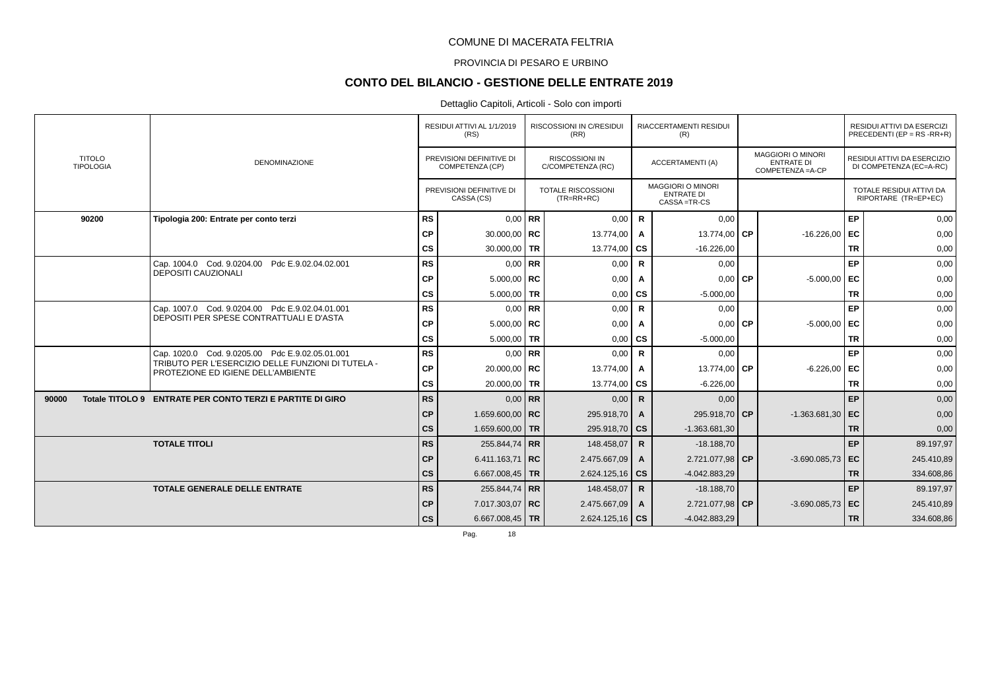### PROVINCIA DI PESARO E URBINO

# **CONTO DEL BILANCIO - GESTIONE DELLE ENTRATE 2019**

#### Dettaglio Capitoli, Articoli - Solo con importi

|                                   |                                                                                          |               | RESIDUI ATTIVI AL 1/1/2019<br>(RS)          | RISCOSSIONI IN C/RESIDUI<br>(RR)           |              | RIACCERTAMENTI RESIDUI<br>(R)                                |                                                                    |           | RESIDUI ATTIVI DA ESERCIZI<br>PRECEDENTI (EP = $RS$ - $RR+R$ ) |
|-----------------------------------|------------------------------------------------------------------------------------------|---------------|---------------------------------------------|--------------------------------------------|--------------|--------------------------------------------------------------|--------------------------------------------------------------------|-----------|----------------------------------------------------------------|
| <b>TITOLO</b><br><b>TIPOLOGIA</b> | <b>DENOMINAZIONE</b>                                                                     |               | PREVISIONI DEFINITIVE DI<br>COMPETENZA (CP) | <b>RISCOSSIONI IN</b><br>C/COMPETENZA (RC) |              | <b>ACCERTAMENTI (A)</b>                                      | <b>MAGGIORI O MINORI</b><br><b>ENTRATE DI</b><br>COMPETENZA = A-CP |           | RESIDUI ATTIVI DA ESERCIZIO<br>DI COMPETENZA (EC=A-RC)         |
|                                   |                                                                                          |               | PREVISIONI DEFINITIVE DI<br>CASSA (CS)      | <b>TOTALE RISCOSSIONI</b><br>$(TR=RR+RC)$  |              | <b>MAGGIORI O MINORI</b><br><b>ENTRATE DI</b><br>CASSA=TR-CS |                                                                    |           | TOTALE RESIDUI ATTIVI DA<br>RIPORTARE (TR=EP+EC)               |
| 90200                             | Tipologia 200: Entrate per conto terzi                                                   | <b>RS</b>     | $0.00$ RR                                   | 0,00                                       | $\mathbf R$  | 0.00                                                         |                                                                    | EP        | 0,00                                                           |
|                                   |                                                                                          | <b>CP</b>     | 30.000,00   $RC$                            | 13.774,00                                  | A            | 13.774,00 CP                                                 | $-16.226,00$                                                       | EC        | 0,00                                                           |
|                                   |                                                                                          | cs            | 30.000,00 TR                                | 13.774,00   CS                             |              | $-16.226,00$                                                 |                                                                    | <b>TR</b> | 0,00                                                           |
|                                   | Cap. 1004.0 Cod. 9.0204.00 Pdc E.9.02.04.02.001                                          | <b>RS</b>     | $0,00$ RR                                   | 0,00                                       | $\mathbf R$  | 0,00                                                         |                                                                    | EP        | 0,00                                                           |
|                                   | <b>DEPOSITI CAUZIONALI</b>                                                               | <b>CP</b>     | $5.000,00$ RC                               | 0,00                                       | A            | $0,00$ CP                                                    | $-5.000,00$                                                        | EC        | 0,00                                                           |
|                                   |                                                                                          | $\mathsf{cs}$ | $5.000,00$ TR                               | 0,00                                       | <b>CS</b>    | $-5.000,00$                                                  |                                                                    | <b>TR</b> | 0,00                                                           |
|                                   | Cap. 1007.0 Cod. 9.0204.00 Pdc E.9.02.04.01.001                                          | <b>RS</b>     | $0.00$ RR                                   | 0,00                                       | $\mathsf{R}$ | 0,00                                                         |                                                                    | EP        | 0,00                                                           |
|                                   | DEPOSITI PER SPESE CONTRATTUALI E D'ASTA                                                 | <b>CP</b>     | $5.000,00$ RC                               | 0,00                                       | A            | $0,00$ CP                                                    | $-5.000,00$ EC                                                     |           | 0,00                                                           |
|                                   |                                                                                          | cs            | $5.000,00$ TR                               | 0,00                                       | cs           | $-5.000,00$                                                  |                                                                    | <b>TR</b> | 0,00                                                           |
|                                   | Cap. 1020.0 Cod. 9.0205.00 Pdc E.9.02.05.01.001                                          | <b>RS</b>     | $0.00$ RR                                   | 0,00                                       | R            | 0.00                                                         |                                                                    | EP        | 0,00                                                           |
|                                   | TRIBUTO PER L'ESERCIZIO DELLE FUNZIONI DI TUTELA -<br>PROTEZIONE ED IGIENE DELL'AMBIENTE | <b>CP</b>     | 20.000,00   RC                              | 13.774,00                                  | Α            | 13.774,00 CP                                                 | $-6.226,00$                                                        | EC        | 0,00                                                           |
|                                   |                                                                                          | cs            | 20.000,00 TR                                | 13.774,00 $\overline{CS}$                  |              | $-6.226,00$                                                  |                                                                    | <b>TR</b> | 0,00                                                           |
| 90000                             | Totale TITOLO 9 ENTRATE PER CONTO TERZI E PARTITE DI GIRO                                | RS            | $0,00$ RR                                   | 0,00                                       | $\mathsf{R}$ | 0,00                                                         |                                                                    | EP        | 0,00                                                           |
|                                   |                                                                                          | <b>CP</b>     | 1.659.600,00   RC                           | 295.918,70                                 | $\mathbf{A}$ | 295.918,70 CP                                                | $-1.363.681,30$                                                    | l EC      | 0,00                                                           |
|                                   |                                                                                          | $\mathsf{cs}$ | 1.659.600,00 TR                             | 295.918,70   CS                            |              | $-1.363.681,30$                                              |                                                                    | <b>TR</b> | 0,00                                                           |
|                                   | <b>TOTALE TITOLI</b>                                                                     | <b>RS</b>     | 255.844.74 RR                               | 148.458,07                                 | $\mathsf{R}$ | $-18.188,70$                                                 |                                                                    | EP        | 89.197,97                                                      |
|                                   |                                                                                          | <b>CP</b>     | 6.411.163,71   RC                           | 2.475.667,09                               | A            | 2.721.077,98 CP                                              | $-3.690.085.73$ EC                                                 |           | 245.410,89                                                     |
|                                   |                                                                                          | CS            | 6.667.008,45   TR                           | $2.624.125,16$ CS                          |              | $-4.042.883.29$                                              |                                                                    | <b>TR</b> | 334.608,86                                                     |
|                                   | <b>TOTALE GENERALE DELLE ENTRATE</b>                                                     | <b>RS</b>     | 255.844,74 RR                               | 148.458,07                                 | $\mathsf{R}$ | $-18.188,70$                                                 |                                                                    | EP        | 89.197,97                                                      |
|                                   |                                                                                          | <b>CP</b>     | 7.017.303,07 RC                             | 2.475.667,09                               | $\mathbf{A}$ | 2.721.077,98 CP                                              | $-3.690.085.73$ EC                                                 |           | 245.410,89                                                     |
|                                   |                                                                                          | cs            | 6.667.008,45   TR                           | $2.624.125,16$ CS                          |              | $-4.042.883,29$                                              |                                                                    | <b>TR</b> | 334.608,86                                                     |